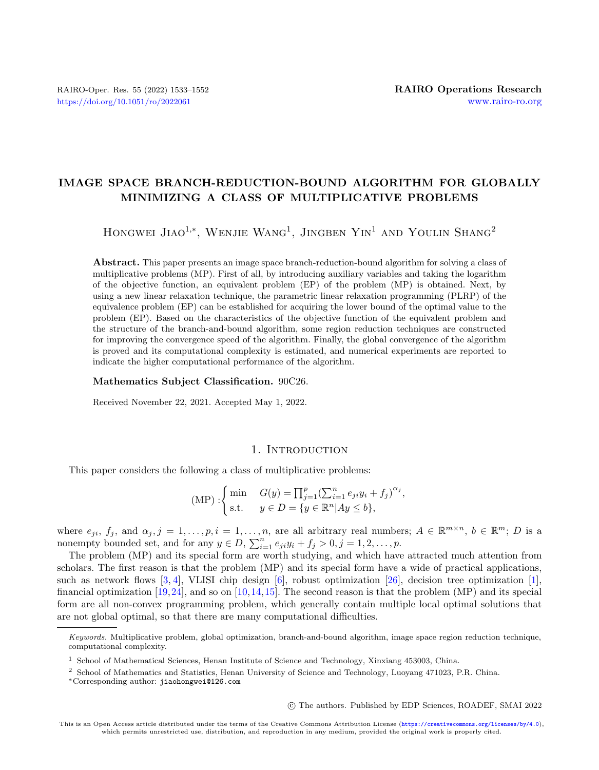# <span id="page-0-0"></span>IMAGE SPACE BRANCH-REDUCTION-BOUND ALGORITHM FOR GLOBALLY MINIMIZING A CLASS OF MULTIPLICATIVE PROBLEMS

HONGWEI JIAO<sup>1,\*</sup>, WENJIE WANG<sup>1</sup>, JINGBEN YIN<sup>1</sup> AND YOULIN SHANG<sup>2</sup>

Abstract. This paper presents an image space branch-reduction-bound algorithm for solving a class of multiplicative problems (MP). First of all, by introducing auxiliary variables and taking the logarithm of the objective function, an equivalent problem (EP) of the problem (MP) is obtained. Next, by using a new linear relaxation technique, the parametric linear relaxation programming (PLRP) of the equivalence problem (EP) can be established for acquiring the lower bound of the optimal value to the problem (EP). Based on the characteristics of the objective function of the equivalent problem and the structure of the branch-and-bound algorithm, some region reduction techniques are constructed for improving the convergence speed of the algorithm. Finally, the global convergence of the algorithm is proved and its computational complexity is estimated, and numerical experiments are reported to indicate the higher computational performance of the algorithm.

#### Mathematics Subject Classification. 90C26.

Received November 22, 2021. Accepted May 1, 2022.

## 1. INTRODUCTION

This paper considers the following a class of multiplicative problems:

(MP) :   
{ min 
$$
G(y) = \prod_{j=1}^{p} (\sum_{i=1}^{n} e_{ji} y_i + f_j)^{\alpha_j}
$$
,  
 s.t.  $y \in D = \{y \in \mathbb{R}^n | Ay \leq b\}$ ,

where  $e_{ji}$ ,  $f_j$ , and  $\alpha_j$ ,  $j = 1, \ldots, p$ ,  $i = 1, \ldots, n$ , are all arbitrary real numbers;  $A \in \mathbb{R}^{m \times n}$ ,  $b \in \mathbb{R}^m$ ; D is a nonempty bounded set, and for any  $y \in D$ ,  $\sum_{i=1}^{n} e_{ji} y_i + f_j > 0$ ,  $j = 1, 2, \ldots, p$ .

The problem (MP) and its special form are worth studying, and which have attracted much attention from scholars. The first reason is that the problem (MP) and its special form have a wide of practical applications, such as network flows [\[3,](#page-17-0) [4\]](#page-17-1), VLISI chip design [\[6\]](#page-17-2), robust optimization [\[26\]](#page-18-0), decision tree optimization [\[1\]](#page-17-3), financial optimization [\[19,](#page-18-1)[24\]](#page-18-2), and so on [\[10,](#page-18-3)[14,](#page-18-4)[15\]](#page-18-5). The second reason is that the problem (MP) and its special form are all non-convex programming problem, which generally contain multiple local optimal solutions that are not global optimal, so that there are many computational difficulties.

○c The authors. Published by EDP Sciences, ROADEF, SMAI 2022

Keywords. Multiplicative problem, global optimization, branch-and-bound algorithm, image space region reduction technique, computational complexity.

<sup>1</sup> School of Mathematical Sciences, Henan Institute of Science and Technology, Xinxiang 453003, China.

<sup>2</sup> School of Mathematics and Statistics, Henan University of Science and Technology, Luoyang 471023, P.R. China.

<sup>\*</sup>Corresponding author: [jiaohongwei@126.com](mailto:jiaohongwei@126.com)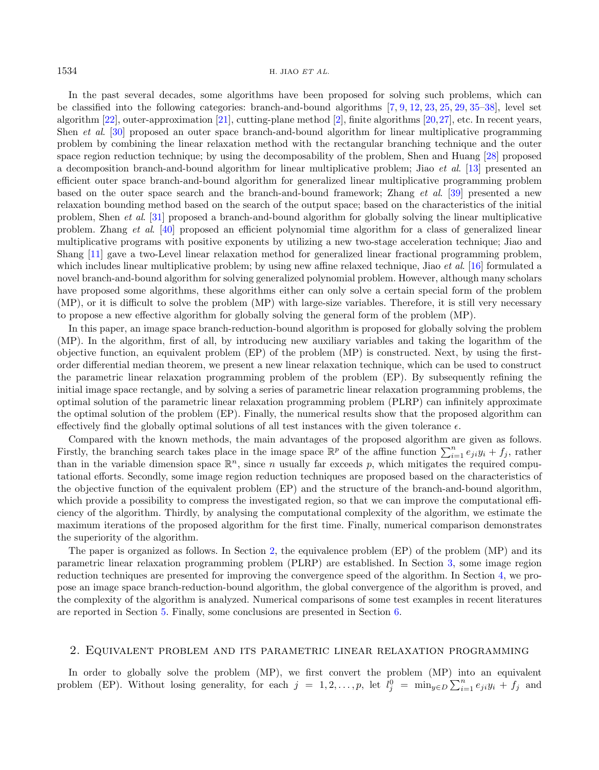### $1534$  H. JIAO ET AL.

In the past several decades, some algorithms have been proposed for solving such problems, which can be classified into the following categories: branch-and-bound algorithms [\[7,](#page-18-6) [9,](#page-18-7) [12,](#page-18-8) [23,](#page-18-9) [25,](#page-18-10) [29,](#page-18-11) [35–](#page-18-12)[38\]](#page-18-13), level set algorithm [\[22\]](#page-18-14), outer-approximation [\[21\]](#page-18-15), cutting-plane method [\[2\]](#page-17-4), finite algorithms [\[20,](#page-18-16)[27\]](#page-18-17), etc. In recent years, Shen et al. [\[30\]](#page-18-18) proposed an outer space branch-and-bound algorithm for linear multiplicative programming problem by combining the linear relaxation method with the rectangular branching technique and the outer space region reduction technique; by using the decomposability of the problem, Shen and Huang [\[28\]](#page-18-19) proposed a decomposition branch-and-bound algorithm for linear multiplicative problem; Jiao et al. [\[13\]](#page-18-20) presented an efficient outer space branch-and-bound algorithm for generalized linear multiplicative programming problem based on the outer space search and the branch-and-bound framework; Zhang et al. [\[39\]](#page-18-21) presented a new relaxation bounding method based on the search of the output space; based on the characteristics of the initial problem, Shen et al. [\[31\]](#page-18-22) proposed a branch-and-bound algorithm for globally solving the linear multiplicative problem. Zhang et al. [\[40\]](#page-19-0) proposed an efficient polynomial time algorithm for a class of generalized linear multiplicative programs with positive exponents by utilizing a new two-stage acceleration technique; Jiao and Shang [\[11\]](#page-18-23) gave a two-Level linear relaxation method for generalized linear fractional programming problem, which includes linear multiplicative problem; by using new affine relaxed technique, Jiao *et al.* [\[16\]](#page-18-24) formulated a novel branch-and-bound algorithm for solving generalized polynomial problem. However, although many scholars have proposed some algorithms, these algorithms either can only solve a certain special form of the problem (MP), or it is difficult to solve the problem (MP) with large-size variables. Therefore, it is still very necessary to propose a new effective algorithm for globally solving the general form of the problem (MP).

In this paper, an image space branch-reduction-bound algorithm is proposed for globally solving the problem (MP). In the algorithm, first of all, by introducing new auxiliary variables and taking the logarithm of the objective function, an equivalent problem (EP) of the problem (MP) is constructed. Next, by using the firstorder differential median theorem, we present a new linear relaxation technique, which can be used to construct the parametric linear relaxation programming problem of the problem (EP). By subsequently refining the initial image space rectangle, and by solving a series of parametric linear relaxation programming problems, the optimal solution of the parametric linear relaxation programming problem (PLRP) can infinitely approximate the optimal solution of the problem (EP). Finally, the numerical results show that the proposed algorithm can effectively find the globally optimal solutions of all test instances with the given tolerance  $\epsilon$ .

Compared with the known methods, the main advantages of the proposed algorithm are given as follows. Firstly, the branching search takes place in the image space  $\mathbb{R}^p$  of the affine function  $\sum_{i=1}^n e_{ji}y_i + f_j$ , rather than in the variable dimension space  $\mathbb{R}^n$ , since *n* usually far exceeds p, which mitigates the required computational efforts. Secondly, some image region reduction techniques are proposed based on the characteristics of the objective function of the equivalent problem (EP) and the structure of the branch-and-bound algorithm, which provide a possibility to compress the investigated region, so that we can improve the computational efficiency of the algorithm. Thirdly, by analysing the computational complexity of the algorithm, we estimate the maximum iterations of the proposed algorithm for the first time. Finally, numerical comparison demonstrates the superiority of the algorithm.

The paper is organized as follows. In Section [2,](#page-1-0) the equivalence problem (EP) of the problem (MP) and its parametric linear relaxation programming problem (PLRP) are established. In Section [3,](#page-4-0) some image region reduction techniques are presented for improving the convergence speed of the algorithm. In Section [4,](#page-6-0) we propose an image space branch-reduction-bound algorithm, the global convergence of the algorithm is proved, and the complexity of the algorithm is analyzed. Numerical comparisons of some test examples in recent literatures are reported in Section [5.](#page-10-0) Finally, some conclusions are presented in Section [6.](#page-15-0)

## <span id="page-1-0"></span>2. Equivalent problem and its parametric linear relaxation programming

In order to globally solve the problem (MP), we first convert the problem (MP) into an equivalent problem (EP). Without losing generality, for each  $j = 1, 2, ..., p$ , let  $l_j^0 = \min_{y \in D} \sum_{i=1}^n e_{ji}y_i + f_j$  and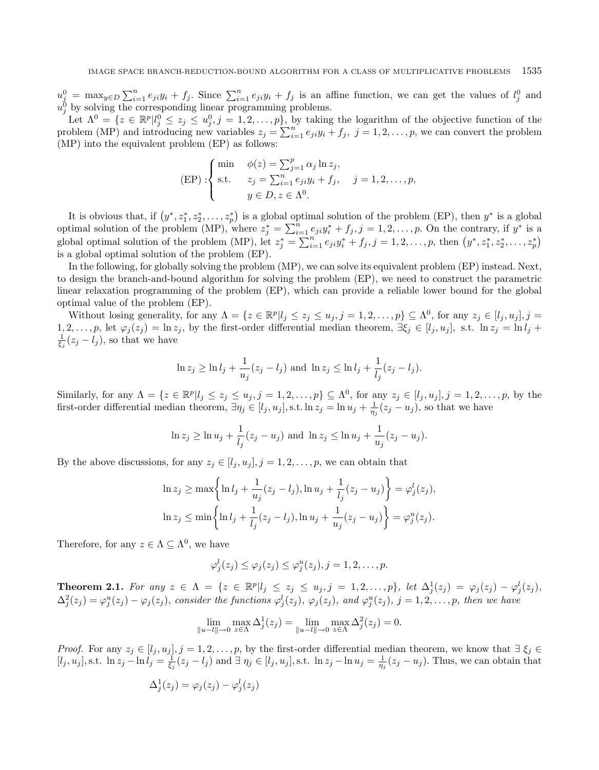$u_j^0 = \max_{y \in D} \sum_{i=1}^n e_{ji} y_i + f_j$ . Since  $\sum_{i=1}^n e_{ji} y_i + f_j$  is an affine function, we can get the values of  $l_j^0$  and  $u_j^0$  by solving the corresponding linear programming problems.

Let  $\Lambda^0 = \{z \in \mathbb{R}^p | l_j^0 \leq z_j \leq u_j^0, j = 1, 2, ..., p\}$ , by taking the logarithm of the objective function of the problem (MP) and introducing new variables  $z_j = \sum_{i=1}^n e_{ji}y_i + f_j$ ,  $j = 1, 2, ..., p$ , we can convert the problem (MP) into the equivalent problem (EP) as follows:

$$
\text{(EP)}: \begin{cases} \min & \phi(z) = \sum_{j=1}^{p} \alpha_j \ln z_j, \\ \text{s.t.} & z_j = \sum_{i=1}^{n} e_{ji} y_i + f_j, \quad j = 1, 2, \dots, p, \\ & y \in D, z \in \Lambda^0. \end{cases}
$$

It is obvious that, if  $(y^*, z_1^*, z_2^*, \ldots, z_p^*)$  is a global optimal solution of the problem (EP), then  $y^*$  is a global optimal solution of the problem (MP), where  $z_j^* = \sum_{i=1}^n e_{ji}y_i^* + f_j, j = 1, 2, \ldots, p$ . On the contrary, if  $y^*$  is a global optimal solution of the problem (MP), let  $z_j^* = \sum_{i=1}^n e_{ji}y_i^* + f_j$ ,  $j = 1, 2, ..., p$ , then  $(y^*, z_1^*, z_2^*, \ldots, z_p^*)$ is a global optimal solution of the problem (EP).

In the following, for globally solving the problem (MP), we can solve its equivalent problem (EP) instead. Next, to design the branch-and-bound algorithm for solving the problem (EP), we need to construct the parametric linear relaxation programming of the problem (EP), which can provide a reliable lower bound for the global optimal value of the problem (EP).

Without losing generality, for any  $\Lambda = \{z \in \mathbb{R}^p | l_j \leq z_j \leq u_j, j = 1, 2, ..., p\} \subseteq \Lambda^0$ , for any  $z_j \in [l_j, u_j], j = 1, 2, ..., p$  $1, 2, \ldots, p$ , let  $\varphi_j(z_j) = \ln z_j$ , by the first-order differential median theorem,  $\exists \xi_j \in [l_j, u_j]$ , s.t.  $\ln z_j = \ln l_j +$  $\frac{1}{\xi_j}(z_j - l_j)$ , so that we have

$$
\ln z_j \ge \ln l_j + \frac{1}{u_j}(z_j - l_j)
$$
 and  $\ln z_j \le \ln l_j + \frac{1}{l_j}(z_j - l_j)$ .

Similarly, for any  $\Lambda = \{z \in \mathbb{R}^p | l_j \leq z_j \leq u_j, j = 1, 2, ..., p\} \subseteq \Lambda^0$ , for any  $z_j \in [l_j, u_j], j = 1, 2, ..., p$ , by the first-order differential median theorem,  $\exists \eta_j \in [l_j, u_j],$  s.t.  $\ln z_j = \ln u_j + \frac{1}{\eta_j}(z_j - u_j)$ , so that we have

$$
\ln z_j \ge \ln u_j + \frac{1}{l_j}(z_j - u_j)
$$
 and  $\ln z_j \le \ln u_j + \frac{1}{u_j}(z_j - u_j)$ .

By the above discussions, for any  $z_j \in [l_j, u_j], j = 1, 2, \ldots, p$ , we can obtain that

$$
\ln z_j \ge \max \left\{ \ln l_j + \frac{1}{u_j} (z_j - l_j), \ln u_j + \frac{1}{l_j} (z_j - u_j) \right\} = \varphi_j^l(z_j),
$$
  

$$
\ln z_j \le \min \left\{ \ln l_j + \frac{1}{l_j} (z_j - l_j), \ln u_j + \frac{1}{u_j} (z_j - u_j) \right\} = \varphi_j^u(z_j).
$$

Therefore, for any  $z \in \Lambda \subseteq \Lambda^0$ , we have

$$
\varphi_j^l(z_j) \leq \varphi_j(z_j) \leq \varphi_j^u(z_j), j = 1, 2, \ldots, p.
$$

<span id="page-2-0"></span>**Theorem 2.1.** For any  $z \in \Lambda = \{z \in \mathbb{R}^p | l_j \leq z_j \leq u_j, j = 1, 2, ..., p \}$ , let  $\Delta_j^1(z_j) = \varphi_j(z_j) - \varphi_j^1(z_j)$ ,  $\Delta_j^2(z_j) = \varphi_j^u(z_j) - \varphi_j(z_j)$ , consider the functions  $\varphi_j^l(z_j)$ ,  $\varphi_j(z_j)$ , and  $\varphi_j^u(z_j)$ ,  $j = 1, 2, ..., p$ , then we have

$$
\lim_{\|u - l\| \to 0} \max_{z \in \Lambda} \Delta_j^1(z_j) = \lim_{\|u - l\| \to 0} \max_{z \in \Lambda} \Delta_j^2(z_j) = 0.
$$

*Proof.* For any  $z_j \in [l_j, u_j], j = 1, 2, \ldots, p$ , by the first-order differential median theorem, we know that  $\exists \xi_j \in$  $[l_j, u_j],$  s.t.  $\ln z_j - \ln l_j = \frac{1}{\xi_j}(z_j - l_j)$  and  $\exists \eta_j \in [l_j, u_j],$  s.t.  $\ln z_j - \ln u_j = \frac{1}{\eta_j}(z_j - u_j)$ . Thus, we can obtain that

$$
\Delta_j^1(z_j) = \varphi_j(z_j) - \varphi_j^l(z_j)
$$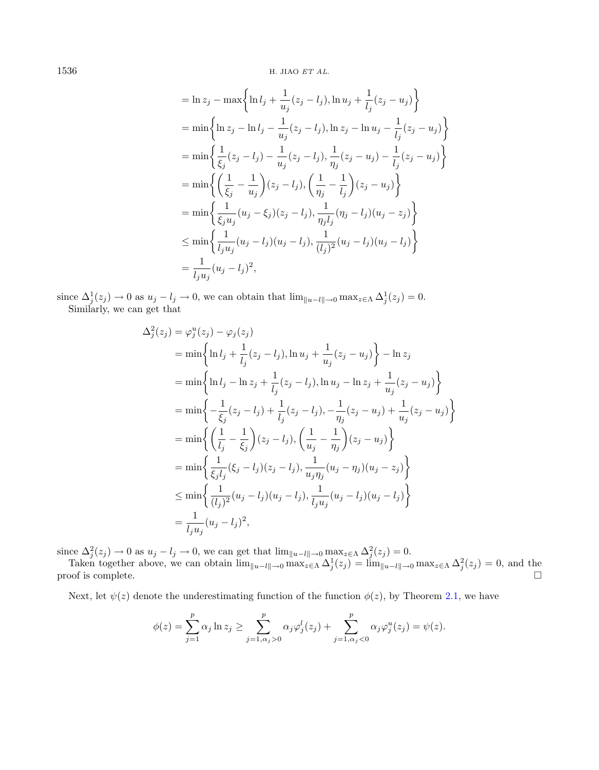$1536$  H. JIAO ET AL.

$$
= \ln z_j - \max \left\{ \ln l_j + \frac{1}{u_j} (z_j - l_j), \ln u_j + \frac{1}{l_j} (z_j - u_j) \right\}
$$
  
\n
$$
= \min \left\{ \ln z_j - \ln l_j - \frac{1}{u_j} (z_j - l_j), \ln z_j - \ln u_j - \frac{1}{l_j} (z_j - u_j) \right\}
$$
  
\n
$$
= \min \left\{ \frac{1}{\xi_j} (z_j - l_j) - \frac{1}{u_j} (z_j - l_j), \frac{1}{\eta_j} (z_j - u_j) - \frac{1}{l_j} (z_j - u_j) \right\}
$$
  
\n
$$
= \min \left\{ \left( \frac{1}{\xi_j} - \frac{1}{u_j} \right) (z_j - l_j), \left( \frac{1}{\eta_j} - \frac{1}{l_j} \right) (z_j - u_j) \right\}
$$
  
\n
$$
= \min \left\{ \frac{1}{\xi_j u_j} (u_j - \xi_j) (z_j - l_j), \frac{1}{\eta_j l_j} (\eta_j - l_j) (u_j - z_j) \right\}
$$
  
\n
$$
\le \min \left\{ \frac{1}{l_j u_j} (u_j - l_j) (u_j - l_j), \frac{1}{(l_j)^2} (u_j - l_j) (u_j - l_j) \right\}
$$
  
\n
$$
= \frac{1}{l_j u_j} (u_j - l_j)^2,
$$

since  $\Delta_j^1(z_j) \to 0$  as  $u_j - l_j \to 0$ , we can obtain that  $\lim_{\|u - l\| \to 0} \max_{z \in \Lambda} \Delta_j^1(z_j) = 0$ . Similarly, we can get that

$$
\Delta_j^2(z_j) = \varphi_j^u(z_j) - \varphi_j(z_j)
$$
  
=  $\min \left\{ \ln l_j + \frac{1}{l_j}(z_j - l_j), \ln u_j + \frac{1}{u_j}(z_j - u_j) \right\} - \ln z_j$   
=  $\min \left\{ \ln l_j - \ln z_j + \frac{1}{l_j}(z_j - l_j), \ln u_j - \ln z_j + \frac{1}{u_j}(z_j - u_j) \right\}$   
=  $\min \left\{ -\frac{1}{\xi_j}(z_j - l_j) + \frac{1}{l_j}(z_j - l_j), -\frac{1}{\eta_j}(z_j - u_j) + \frac{1}{u_j}(z_j - u_j) \right\}$   
=  $\min \left\{ \left( \frac{1}{l_j} - \frac{1}{\xi_j} \right) (z_j - l_j), \left( \frac{1}{u_j} - \frac{1}{\eta_j} \right) (z_j - u_j) \right\}$   
=  $\min \left\{ \frac{1}{\xi_j l_j} (\xi_j - l_j) (z_j - l_j), \frac{1}{u_j \eta_j} (u_j - \eta_j) (u_j - z_j) \right\}$   
 $\le \min \left\{ \frac{1}{(l_j)^2} (u_j - l_j) (u_j - l_j), \frac{1}{l_j u_j} (u_j - l_j) (u_j - l_j) \right\}$   
=  $\frac{1}{l_j u_j} (u_j - l_j)^2$ ,

since  $\Delta_j^2(z_j) \to 0$  as  $u_j - l_j \to 0$ , we can get that  $\lim_{\|u - l\| \to 0} \max_{z \in \Lambda} \Delta_j^2(z_j) = 0$ .

Taken together above, we can obtain  $\lim_{\|u-1\| \to 0} \max_{z \in \Lambda} \Delta_j^1(z_j) = \lim_{\|u-1\| \to 0} \max_{z \in \Lambda} \Delta_j^2(z_j) = 0$ , and the  $\Box$  proof is complete.

Next, let  $\psi(z)$  denote the underestimating function of the function  $\phi(z)$ , by Theorem [2.1,](#page-2-0) we have

$$
\phi(z) = \sum_{j=1}^p \alpha_j \ln z_j \ge \sum_{j=1, \alpha_j > 0}^p \alpha_j \varphi_j^l(z_j) + \sum_{j=1, \alpha_j < 0}^p \alpha_j \varphi_j^u(z_j) = \psi(z).
$$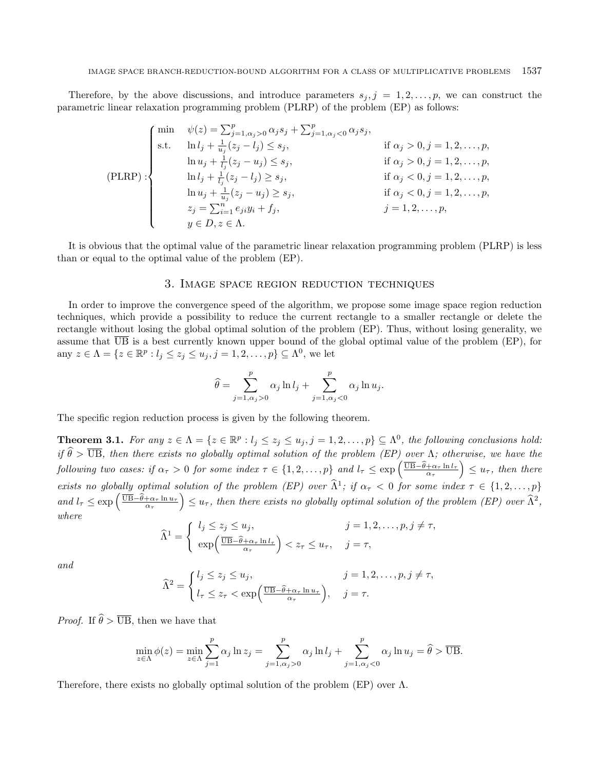Therefore, by the above discussions, and introduce parameters  $s_j, j = 1, 2, \ldots, p$ , we can construct the parametric linear relaxation programming problem (PLRP) of the problem (EP) as follows:

$$
\begin{cases}\n\min \quad \psi(z) = \sum_{j=1, \alpha_j > 0}^p \alpha_j s_j + \sum_{j=1, \alpha_j < 0}^p \alpha_j s_j, \\
\text{s.t.} \quad \ln l_j + \frac{1}{u_j} (z_j - l_j) \le s_j, & \text{if } \alpha_j > 0, j = 1, 2, \dots, p, \\
\ln u_j + \frac{1}{l_j} (z_j - u_j) \le s_j, & \text{if } \alpha_j > 0, j = 1, 2, \dots, p, \\
\ln l_j + \frac{1}{l_j} (z_j - l_j) \ge s_j, & \text{if } \alpha_j < 0, j = 1, 2, \dots, p, \\
\ln u_j + \frac{1}{u_j} (z_j - u_j) \ge s_j, & \text{if } \alpha_j < 0, j = 1, 2, \dots, p, \\
z_j = \sum_{i=1}^n e_{ji} y_i + f_j, & j = 1, 2, \dots, p, \\
y \in D, z \in \Lambda.\n\end{cases}
$$

It is obvious that the optimal value of the parametric linear relaxation programming problem (PLRP) is less than or equal to the optimal value of the problem (EP).

## 3. Image space region reduction techniques

<span id="page-4-0"></span>In order to improve the convergence speed of the algorithm, we propose some image space region reduction techniques, which provide a possibility to reduce the current rectangle to a smaller rectangle or delete the rectangle without losing the global optimal solution of the problem (EP). Thus, without losing generality, we assume that  $\overline{UB}$  is a best currently known upper bound of the global optimal value of the problem (EP), for any  $z \in \Lambda = \{ z \in \mathbb{R}^p : l_j \leq z_j \leq u_j, j = 1, 2, \ldots, p \} \subseteq \Lambda^0$ , we let

$$
\widehat{\theta} = \sum_{j=1, \alpha_j > 0}^{p} \alpha_j \ln l_j + \sum_{j=1, \alpha_j < 0}^{p} \alpha_j \ln u_j.
$$

<span id="page-4-1"></span>The specific region reduction process is given by the following theorem.

**Theorem 3.1.** For any  $z \in \Lambda = \{z \in \mathbb{R}^p : l_j \leq z_j \leq u_j, j = 1, 2, ..., p\} \subseteq \Lambda^0$ , the following conclusions hold: if  $\hat{\theta} > \overline{UB}$ , then there exists no globally optimal solution of the problem (EP) over  $\Lambda$ ; otherwise, we have the  $\text{following two cases: if } \alpha_{\tau} > 0 \text{ for some index } \tau \in \{1, 2, ..., p\} \text{ and } l_{\tau} \leq \exp\left(\frac{\overline{UB} - \hat{\theta} + \alpha_{\tau} \ln l_{\tau}}{\alpha_{\tau}}\right) \leq u_{\tau}, \text{ then there}$ exists no globally optimal solution of the problem (EP) over  $\hat{\Lambda}^1$ ; if  $\alpha_{\tau} < 0$  for some index  $\tau \in \{1, 2, ..., p\}$  $and l_{\tau} \leq \exp\left(\frac{\overline{UB} - \hat{\theta} + \alpha_{\tau} \ln u_{\tau}}{\alpha_{\tau}}\right) \leq u_{\tau}$ , then there exists no globally optimal solution of the problem (EP) over  $\widehat{\Lambda}^2$ , where

$$
\widehat{\Lambda}^{1} = \begin{cases} l_{j} \leq z_{j} \leq u_{j}, & j = 1, 2, ..., p, j \neq \tau, \\ \exp\left(\frac{\overline{\text{UB}} - \widehat{\theta} + \alpha_{\tau} \ln l_{\tau}}{\alpha_{\tau}}\right) < z_{\tau} \leq u_{\tau}, & j = \tau, \end{cases}
$$

and

$$
\widehat{\Lambda}^2 = \begin{cases} l_j \leq z_j \leq u_j, & j = 1, 2, \dots, p, j \neq \tau, \\ l_\tau \leq z_\tau < \exp\left(\frac{\overline{\text{UB}} - \widehat{\theta} + \alpha_\tau \ln u_\tau}{\alpha_\tau}\right), & j = \tau. \end{cases}
$$

*Proof.* If  $\hat{\theta} > \overline{UB}$ , then we have that

$$
\min_{z \in \Lambda} \phi(z) = \min_{z \in \Lambda} \sum_{j=1}^p \alpha_j \ln z_j = \sum_{j=1, \alpha_j > 0}^p \alpha_j \ln l_j + \sum_{j=1, \alpha_j < 0}^p \alpha_j \ln u_j = \widehat{\theta} > \overline{UB}.
$$

Therefore, there exists no globally optimal solution of the problem (EP) over  $\Lambda$ .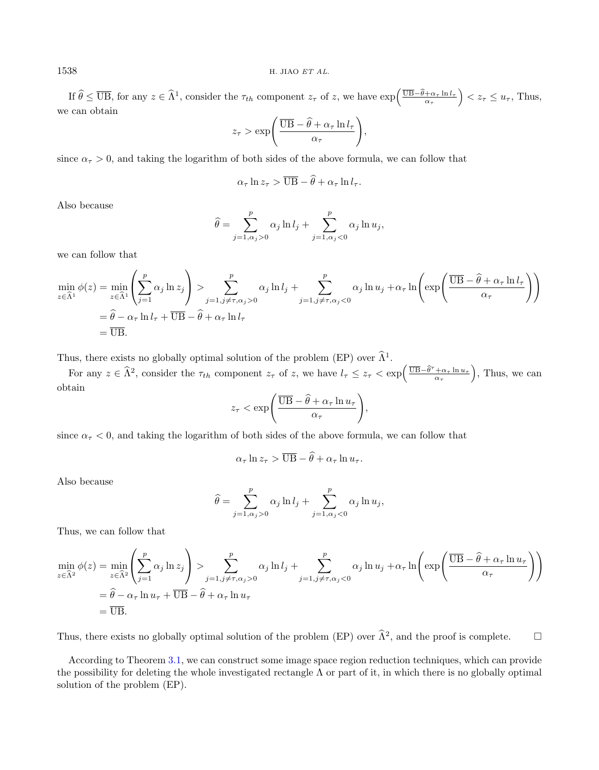If  $\widehat{\theta} \leq \overline{UB}$ , for any  $z \in \widehat{\Lambda}^1$ , consider the  $\tau_{th}$  component  $z_{\tau}$  of  $z$ , we have  $\exp\left(\frac{\overline{UB} - \widehat{\theta} + \alpha_{\tau} \ln l_{\tau}}{\alpha_{\tau}}\right) < z_{\tau} \leq u_{\tau}$ , Thus, we can obtain

$$
z_{\tau} > \exp\left(\frac{\overline{\text{UB}} - \hat{\theta} + \alpha_{\tau} \ln l_{\tau}}{\alpha_{\tau}}\right),\,
$$

since  $\alpha_{\tau} > 0$ , and taking the logarithm of both sides of the above formula, we can follow that

$$
\alpha_{\tau} \ln z_{\tau} > \overline{\text{UB}} - \widehat{\theta} + \alpha_{\tau} \ln l_{\tau}.
$$

Also because

$$
\widehat{\theta} = \sum_{j=1, \alpha_j > 0}^{p} \alpha_j \ln l_j + \sum_{j=1, \alpha_j < 0}^{p} \alpha_j \ln u_j,
$$

we can follow that

$$
\min_{z \in \widehat{\Lambda}^1} \phi(z) = \min_{z \in \widehat{\Lambda}^1} \left( \sum_{j=1}^p \alpha_j \ln z_j \right) > \sum_{j=1, j \neq \tau, \alpha_j > 0}^p \alpha_j \ln l_j + \sum_{j=1, j \neq \tau, \alpha_j < 0}^p \alpha_j \ln u_j + \alpha_\tau \ln \left( \exp \left( \frac{\overline{UB} - \widehat{\theta} + \alpha_\tau \ln l_\tau}{\alpha_\tau} \right) \right)
$$
\n
$$
= \widehat{\theta} - \alpha_\tau \ln l_\tau + \overline{UB} - \widehat{\theta} + \alpha_\tau \ln l_\tau
$$
\n
$$
= \overline{UB}.
$$

Thus, there exists no globally optimal solution of the problem (EP) over  $\widehat{\Lambda}^1$ .

For any  $z \in \hat{\Lambda}^2$ , consider the  $\tau_{th}$  component  $z_{\tau}$  of z, we have  $l_{\tau} \leq z_{\tau} < \exp\left(\frac{\overline{UB} - \hat{\theta}^{\tau} + \alpha_{\tau} \ln u_{\tau}}{\alpha_{\tau}}\right)$ , Thus, we can obtain

$$
z_{\tau} < \exp\left(\frac{\overline{\text{UB}} - \widehat{\theta} + \alpha_{\tau} \ln u_{\tau}}{\alpha_{\tau}}\right),\,
$$

since  $\alpha_{\tau}$  < 0, and taking the logarithm of both sides of the above formula, we can follow that

$$
\alpha_{\tau} \ln z_{\tau} > \overline{\text{UB}} - \theta + \alpha_{\tau} \ln u_{\tau}.
$$

Also because

$$
\widehat{\theta} = \sum_{j=1, \alpha_j > 0}^{p} \alpha_j \ln l_j + \sum_{j=1, \alpha_j < 0}^{p} \alpha_j \ln u_j,
$$

Thus, we can follow that

$$
\min_{z \in \widehat{\Lambda}^2} \phi(z) = \min_{z \in \widehat{\Lambda}^2} \left( \sum_{j=1}^p \alpha_j \ln z_j \right) > \sum_{j=1, j \neq \tau, \alpha_j > 0}^p \alpha_j \ln l_j + \sum_{j=1, j \neq \tau, \alpha_j < 0}^p \alpha_j \ln u_j + \alpha_\tau \ln \left( \exp \left( \frac{\overline{UB} - \widehat{\theta} + \alpha_\tau \ln u_\tau}{\alpha_\tau} \right) \right)
$$
\n
$$
= \widehat{\theta} - \alpha_\tau \ln u_\tau + \overline{UB} - \widehat{\theta} + \alpha_\tau \ln u_\tau
$$
\n
$$
= \overline{UB}.
$$

Thus, there exists no globally optimal solution of the problem (EP) over  $\hat{\Lambda}^2$ , and the proof is complete.  $\Box$ 

According to Theorem [3.1,](#page-4-1) we can construct some image space region reduction techniques, which can provide the possibility for deleting the whole investigated rectangle  $\Lambda$  or part of it, in which there is no globally optimal solution of the problem (EP).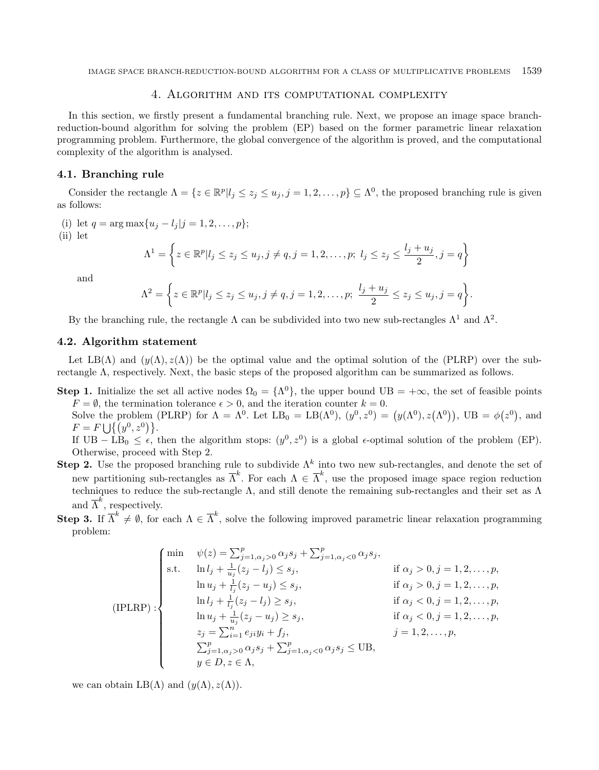## 4. Algorithm and its computational complexity

<span id="page-6-0"></span>In this section, we firstly present a fundamental branching rule. Next, we propose an image space branchreduction-bound algorithm for solving the problem (EP) based on the former parametric linear relaxation programming problem. Furthermore, the global convergence of the algorithm is proved, and the computational complexity of the algorithm is analysed.

## 4.1. Branching rule

Consider the rectangle  $\Lambda = \{z \in \mathbb{R}^p | l_j \leq z_j \leq u_j, j = 1, 2, ..., p\} \subseteq \Lambda^0$ , the proposed branching rule is given as follows:

(i) let  $q = \arg \max \{ u_i - l_i | j = 1, 2, ..., p \};$ (ii) let  $\Lambda^{1} = \left\{ z \in \mathbb{R}^{p} | l_{j} \leq z_{j} \leq u_{j}, j \neq q, j = 1, 2, \ldots, p; \; l_{j} \leq z_{j} \leq \frac{l_{j} + u_{j}}{2} \right\}$  $\left\{\frac{+u_j}{2}, j=q\right\}$ and  $\Lambda^2 = \left\{ z \in \mathbb{R}^p | l_j \leq z_j \leq u_j, j \neq q, j = 1, 2, \ldots, p; \right. \frac{l_j + u_j}{2}$  $\frac{+u_j}{2} \leq z_j \leq u_j, j = q$ .

By the branching rule, the rectangle  $\Lambda$  can be subdivided into two new sub-rectangles  $\Lambda^1$  and  $\Lambda^2$ .

## 4.2. Algorithm statement

Let LB( $\Lambda$ ) and  $(y(\Lambda), z(\Lambda))$  be the optimal value and the optimal solution of the (PLRP) over the subrectangle Λ, respectively. Next, the basic steps of the proposed algorithm can be summarized as follows.

**Step 1.** Initialize the set all active nodes  $\Omega_0 = {\Lambda^0}$ , the upper bound UB =  $+\infty$ , the set of feasible points  $F = \emptyset$ , the termination tolerance  $\epsilon > 0$ , and the iteration counter  $k = 0$ .

Solve the problem (PLRP) for  $\Lambda = \Lambda^0$ . Let  $LB_0 = LB(\Lambda^0)$ ,  $(y^0, z^0) = (y(\Lambda^0), z(\Lambda^0))$ ,  $UB = \phi(z^0)$ , and  $F = F \cup \{(y^0, z^0)\}.$ 

If  $UB - LB_0 \leq \epsilon$ , then the algorithm stops:  $(y^0, z^0)$  is a global  $\epsilon$ -optimal solution of the problem (EP). Otherwise, proceed with Step 2.

- **Step 2.** Use the proposed branching rule to subdivide  $\Lambda^k$  into two new sub-rectangles, and denote the set of new partitioning sub-rectangles as  $\overline{\Lambda}^k$ . For each  $\Lambda \in \overline{\Lambda}^k$ , use the proposed image space region reduction techniques to reduce the sub-rectangle  $\Lambda$ , and still denote the remaining sub-rectangles and their set as  $\Lambda$ and  $\overline{\Lambda}^k$ , respectively.
- Step 3. If  $\overline{\Lambda}^k \neq \emptyset$ , for each  $\Lambda \in \overline{\Lambda}^k$ , solve the following improved parametric linear relaxation programming problem:

$$
\begin{cases}\n\min \quad & \psi(z) = \sum_{j=1, \alpha_j > 0}^p \alpha_j s_j + \sum_{j=1, \alpha_j < 0}^p \alpha_j s_j, \\
\text{s.t.} \quad & \ln l_j + \frac{1}{u_j}(z_j - l_j) \le s_j, \\
& \ln u_j + \frac{1}{l_j}(z_j - u_j) \le s_j, \\
& \ln l_j + \frac{1}{l_j}(z_j - l_j) \ge s_j, \\
& \ln l_j + \frac{1}{l_j}(z_j - l_j) \ge s_j, \\
& \ln u_j + \frac{1}{u_j}(z_j - u_j) \ge s_j, \\
& \ln u_j + \frac{1}{u_j}(z_j - u_j) \ge s_j, \\
& \ln u_j + \frac{1}{u_j}(z_j - u_j) \ge s_j, \\
& \ln u_j + \frac{1}{u_j}(z_j - u_j) \ge s_j, \\
& \ln u_j + \frac{1}{u_j}(z_j - u_j) \ge s_j, \\
& \ln u_j + \frac{1}{u_j}(z_j - u_j) \ge s_j, \\
& \ln u_j + \frac{1}{u_j}(z_j - u_j) \ge s_j, \\
& \ln u_j + \frac{1}{u_j}(z_j - u_j) \ge s_j, \\
& \ln u_j + \frac{1}{u_j}(z_j - u_j) \ge s_j, \\
& \ln u_j + \frac{1}{u_j}(z_j - u_j) \ge s_j, \\
& \ln u_j + \frac{1}{u_j}(z_j - u_j) \ge s_j, \\
& \ln u_j + \frac{1}{u_j}(z_j - u_j) \ge s_j, \\
& \ln u_j + \frac{1}{u_j}(z_j - u_j) \ge s_j, \\
& \ln u_j + \frac{1}{u_j}(z_j - u_j) \ge s_j, \\
& \ln u_j + \frac{1}{u_j}(z_j - u_j) \ge s_j, \\
& \ln u_j + \frac{1}{u_j}(z_j - u_j) \ge s_j, \\
& \ln u_j + \frac{1}{u_j}(z_j - u_j) \ge s_j, \\
& \ln u_j + \frac{1}{u_j}(z_j - u_j) \ge s_j, \\
& \ln u_j + \frac{1}{u_j}(z_j - u_j) \ge s_j, \\
& \ln u_j + \frac{1}{u_j}(z_j - u_j) \ge s_j, \\
& \ln u_j + \frac{1}{u_j}(z_j - u_j) \ge s_j, \\
& \ln u_j + \frac{1}{u_j}(z_j
$$

we can obtain  $LB(\Lambda)$  and  $(\gamma(\Lambda), z(\Lambda))$ .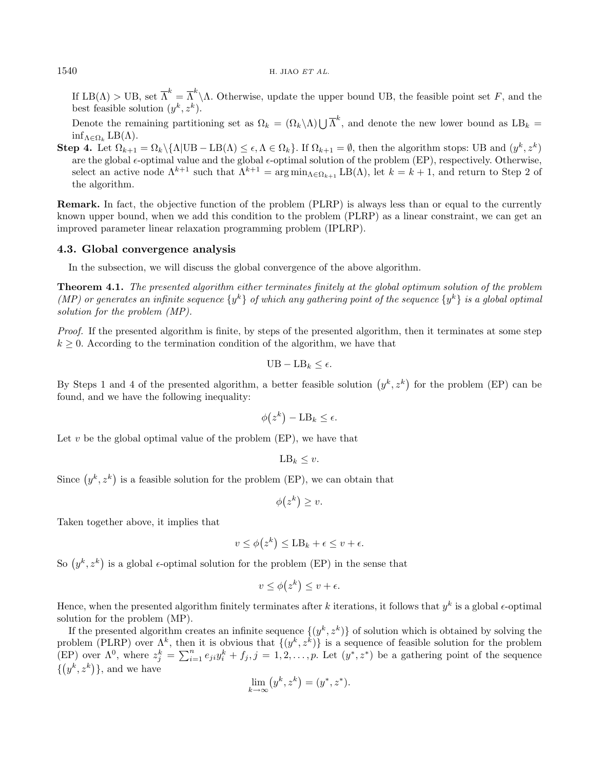## $1540$  H. JIAO ET AL.

If  $LB(\Lambda) > UB$ , set  $\overline{\Lambda}^k = \overline{\Lambda}^k \backslash \Lambda$ . Otherwise, update the upper bound UB, the feasible point set F, and the best feasible solution  $(y^k, z^k)$ .

Denote the remaining partitioning set as  $\Omega_k = (\Omega_k \setminus \Lambda) \bigcup {\overline{\Lambda}}^k$ , and denote the new lower bound as  $LB_k =$  $\inf_{\Lambda \in \Omega_k} \text{LB}(\Lambda).$ 

Step 4. Let  $\Omega_{k+1} = \Omega_k \setminus {\{\Lambda | \text{UB} - \text{LB}(\Lambda) \le \epsilon, \Lambda \in \Omega_k\}}$ . If  $\Omega_{k+1} = \emptyset$ , then the algorithm stops: UB and  $(y^k, z^k)$ are the global  $\epsilon$ -optimal value and the global  $\epsilon$ -optimal solution of the problem (EP), respectively. Otherwise, select an active node  $\Lambda^{k+1}$  such that  $\Lambda^{k+1} = \arg \min_{\Lambda \in \Omega_{k+1}} \text{LB}(\Lambda)$ , let  $k = k+1$ , and return to Step 2 of the algorithm.

Remark. In fact, the objective function of the problem (PLRP) is always less than or equal to the currently known upper bound, when we add this condition to the problem (PLRP) as a linear constraint, we can get an improved parameter linear relaxation programming problem (IPLRP).

## 4.3. Global convergence analysis

In the subsection, we will discuss the global convergence of the above algorithm.

Theorem 4.1. The presented algorithm either terminates finitely at the global optimum solution of the problem (MP) or generates an infinite sequence  $\{y^k\}$  of which any gathering point of the sequence  $\{y^k\}$  is a global optimal solution for the problem (MP).

Proof. If the presented algorithm is finite, by steps of the presented algorithm, then it terminates at some step  $k \geq 0$ . According to the termination condition of the algorithm, we have that

$$
UB - LB_k \leq \epsilon.
$$

By Steps 1 and 4 of the presented algorithm, a better feasible solution  $(y^k, z^k)$  for the problem (EP) can be found, and we have the following inequality:

$$
\phi(z^k) - \text{LB}_k \le \epsilon.
$$

Let  $v$  be the global optimal value of the problem (EP), we have that

$$
LB_k \leq v.
$$

Since  $(y^k, z^k)$  is a feasible solution for the problem (EP), we can obtain that

$$
\phi(z^k) \ge v.
$$

Taken together above, it implies that

$$
v \le \phi(z^k) \le \mathbf{LB}_k + \epsilon \le v + \epsilon.
$$

So  $(y^k, z^k)$  is a global  $\epsilon$ -optimal solution for the problem (EP) in the sense that

$$
v \le \phi(z^k) \le v + \epsilon.
$$

Hence, when the presented algorithm finitely terminates after k iterations, it follows that  $y^k$  is a global  $\epsilon$ -optimal solution for the problem (MP).

If the presented algorithm creates an infinite sequence  $\{(y^k, z^k)\}\$  of solution which is obtained by solving the problem (PLRP) over  $\Lambda^k$ , then it is obvious that  $\{(y^k, z^k)\}\$ is a sequence of feasible solution for the problem (EP) over  $\Lambda^0$ , where  $z_j^k = \sum_{i=1}^n e_{ji}y_i^k + f_j$ ,  $j = 1, 2, \ldots, p$ . Let  $(y^*, z^*)$  be a gathering point of the sequence  $\{(y^k, z^k)\}\$ , and we have

$$
\lim_{k \to \infty} (y^k, z^k) = (y^*, z^*).
$$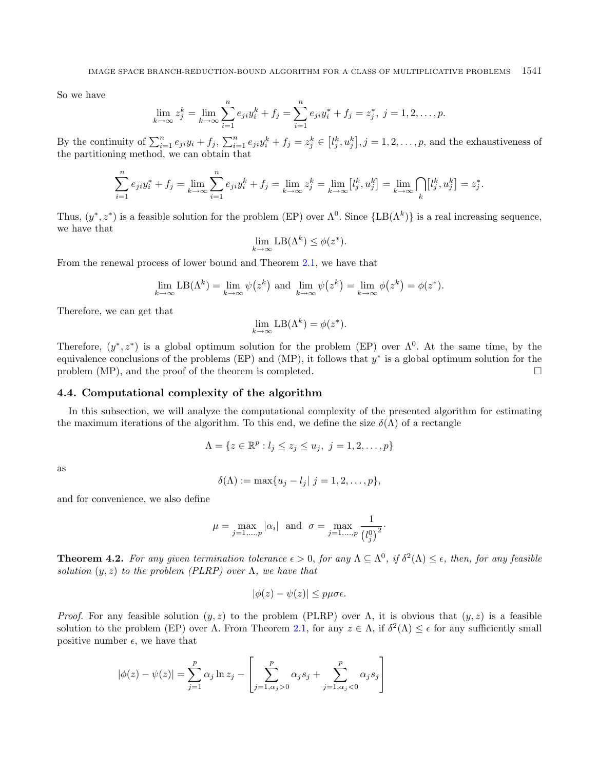So we have

$$
\lim_{k \to \infty} z_j^k = \lim_{k \to \infty} \sum_{i=1}^n e_{ji} y_i^k + f_j = \sum_{i=1}^n e_{ji} y_i^* + f_j = z_j^*, \ j = 1, 2, \dots, p.
$$

By the continuity of  $\sum_{i=1}^{n} e_{ji}y_i + f_j$ ,  $\sum_{i=1}^{n} e_{ji}y_i^k + f_j = z_j^k \in [l_j^k, u_j^k]$ ,  $j = 1, 2, ..., p$ , and the exhaustiveness of the partitioning method, we can obtain that

$$
\sum_{i=1}^{n} e_{ji} y_i^* + f_j = \lim_{k \to \infty} \sum_{i=1}^{n} e_{ji} y_i^k + f_j = \lim_{k \to \infty} z_j^k = \lim_{k \to \infty} [l_j^k, u_j^k] = \lim_{k \to \infty} \bigcap_k [l_j^k, u_j^k] = z_j^*.
$$

Thus,  $(y^*, z^*)$  is a feasible solution for the problem (EP) over  $\Lambda^0$ . Since  $\{LB(\Lambda^k)\}\$ is a real increasing sequence, we have that

$$
\lim_{k \to \infty} \text{LB}(\Lambda^k) \le \phi(z^*).
$$

From the renewal process of lower bound and Theorem [2.1,](#page-2-0) we have that

$$
\lim_{k \to \infty} \text{LB}(\Lambda^k) = \lim_{k \to \infty} \psi(z^k) \text{ and } \lim_{k \to \infty} \psi(z^k) = \lim_{k \to \infty} \phi(z^k) = \phi(z^*).
$$

Therefore, we can get that

$$
\lim_{k \to \infty} \text{LB}(\Lambda^k) = \phi(z^*).
$$

Therefore,  $(y^*, z^*)$  is a global optimum solution for the problem (EP) over  $\Lambda^0$ . At the same time, by the equivalence conclusions of the problems  $(EP)$  and  $(MP)$ , it follows that  $y^*$  is a global optimum solution for the problem (MP), and the proof of the theorem is completed.  $\square$ 

## 4.4. Computational complexity of the algorithm

In this subsection, we will analyze the computational complexity of the presented algorithm for estimating the maximum iterations of the algorithm. To this end, we define the size  $\delta(\Lambda)$  of a rectangle

$$
\Lambda = \{ z \in \mathbb{R}^p : l_j \le z_j \le u_j, \ j = 1, 2, \dots, p \}
$$

as

$$
\delta(\Lambda) := \max\{u_j - l_j | j = 1, 2, ..., p\},\
$$

and for convenience, we also define

$$
\mu = \max_{j=1,\dots,p} |\alpha_i| \text{ and } \sigma = \max_{j=1,\dots,p} \frac{1}{\left(l_j^0\right)^2}.
$$

<span id="page-8-0"></span>**Theorem 4.2.** For any given termination tolerance  $\epsilon > 0$ , for any  $\Lambda \subseteq \Lambda^0$ , if  $\delta^2(\Lambda) \leq \epsilon$ , then, for any feasible solution  $(y, z)$  to the problem (PLRP) over  $\Lambda$ , we have that

$$
|\phi(z) - \psi(z)| \le p\mu\sigma\epsilon.
$$

*Proof.* For any feasible solution  $(y, z)$  to the problem (PLRP) over  $\Lambda$ , it is obvious that  $(y, z)$  is a feasible solution to the problem (EP) over  $\Lambda$ . From Theorem [2.1,](#page-2-0) for any  $z \in \Lambda$ , if  $\delta^2(\Lambda) \leq \epsilon$  for any sufficiently small positive number  $\epsilon$ , we have that

$$
|\phi(z) - \psi(z)| = \sum_{j=1}^{p} \alpha_j \ln z_j - \left[ \sum_{j=1, \alpha_j > 0}^{p} \alpha_j s_j + \sum_{j=1, \alpha_j < 0}^{p} \alpha_j s_j \right]
$$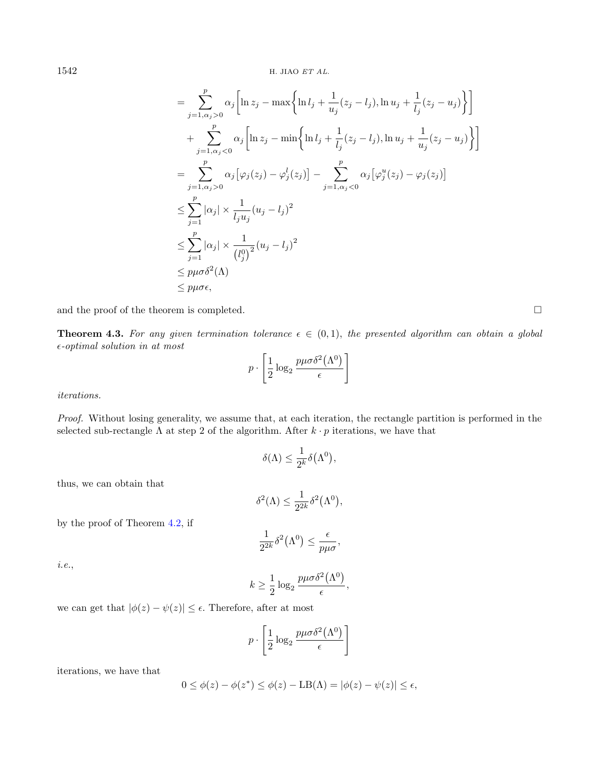$$
= \sum_{j=1,\alpha_j>0}^{p} \alpha_j \left[ \ln z_j - \max \left\{ \ln l_j + \frac{1}{u_j} (z_j - l_j), \ln u_j + \frac{1}{l_j} (z_j - u_j) \right\} \right]
$$
  
+ 
$$
\sum_{j=1,\alpha_j<0}^{p} \alpha_j \left[ \ln z_j - \min \left\{ \ln l_j + \frac{1}{l_j} (z_j - l_j), \ln u_j + \frac{1}{u_j} (z_j - u_j) \right\} \right]
$$
  
= 
$$
\sum_{j=1,\alpha_j>0}^{p} \alpha_j \left[ \varphi_j (z_j) - \varphi_j^l (z_j) \right] - \sum_{j=1,\alpha_j<0}^{p} \alpha_j \left[ \varphi_j^u (z_j) - \varphi_j (z_j) \right]
$$
  

$$
\leq \sum_{j=1}^{p} |\alpha_j| \times \frac{1}{l_j u_j} (u_j - l_j)^2
$$
  

$$
\leq \sum_{j=1}^{p} |\alpha_j| \times \frac{1}{(l_j^0)^2} (u_j - l_j)^2
$$
  

$$
\leq p\mu \sigma \delta^2(\Lambda)
$$
  

$$
\leq p\mu \sigma \epsilon,
$$

and the proof of the theorem is completed.  $\Box$ 

**Theorem 4.3.** For any given termination tolerance  $\epsilon \in (0,1)$ , the presented algorithm can obtain a global  $\epsilon$ -optimal solution in at most

$$
p \cdot \left[ \frac{1}{2} \log_2 \frac{p \mu \sigma \delta^2 (\Lambda^0)}{\epsilon} \right]
$$

iterations.

Proof. Without losing generality, we assume that, at each iteration, the rectangle partition is performed in the selected sub-rectangle  $\Lambda$  at step 2 of the algorithm. After  $k \cdot p$  iterations, we have that

$$
\delta(\Lambda) \le \frac{1}{2^k} \delta(\Lambda^0),
$$

thus, we can obtain that

$$
\delta^2(\Lambda) \le \frac{1}{2^{2k}} \delta^2(\Lambda^0),
$$

by the proof of Theorem [4.2,](#page-8-0) if

$$
\frac{1}{2^{2k}}\delta^2(\Lambda^0) \le \frac{\epsilon}{p\mu\sigma},
$$

i.e.,

$$
k \ge \frac{1}{2} \log_2 \frac{p \mu \sigma \delta^2 (\Lambda^0)}{\epsilon},
$$

we can get that  $|\phi(z) - \psi(z)| \leq \epsilon$ . Therefore, after at most

$$
p \cdot \left[\frac{1}{2}\log_2\frac{p\mu\sigma\delta^2(\Lambda^0)}{\epsilon}\right]
$$

iterations, we have that

$$
0 \leq \phi(z) - \phi(z^*) \leq \phi(z) - \text{LB}(\Lambda) = |\phi(z) - \psi(z)| \leq \epsilon,
$$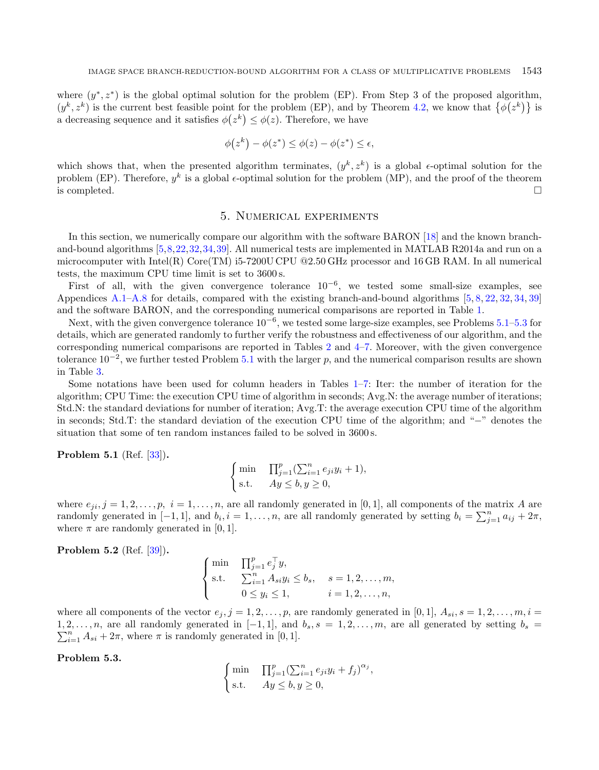where  $(y^*, z^*)$  is the global optimal solution for the problem (EP). From Step 3 of the proposed algorithm,  $(y^k, z^k)$  is the current best feasible point for the problem (EP), and by Theorem [4.2,](#page-8-0) we know that  $\{\phi(z^k)\}\$ is a decreasing sequence and it satisfies  $\phi(z^k) \leq \phi(z)$ . Therefore, we have

$$
\phi(z^k) - \phi(z^*) \le \phi(z) - \phi(z^*) \le \epsilon,
$$

which shows that, when the presented algorithm terminates,  $(y^k, z^k)$  is a global  $\epsilon$ -optimal solution for the problem (EP). Therefore,  $y^k$  is a global  $\epsilon$ -optimal solution for the problem (MP), and the proof of the theorem is completed.  $\Box$ 

## 5. Numerical experiments

<span id="page-10-0"></span>In this section, we numerically compare our algorithm with the software BARON [\[18\]](#page-18-25) and the known branchand-bound algorithms [\[5,](#page-17-5)[8,](#page-18-26)[22,](#page-18-14)[32,](#page-18-27)[34,](#page-18-28)[39\]](#page-18-21). All numerical tests are implemented in MATLAB R2014a and run on a microcomputer with Intel(R) Core(TM) i5-7200U CPU  $@2.50$  GHz processor and 16 GB RAM. In all numerical tests, the maximum CPU time limit is set to 3600 s.

First of all, with the given convergence tolerance  $10^{-6}$ , we tested some small-size examples, see Appendices [A.1–](#page-16-0)[A.8](#page-17-6) for details, compared with the existing branch-and-bound algorithms [\[5,](#page-17-5) [8,](#page-18-26) [22,](#page-18-14) [32,](#page-18-27) [34,](#page-18-28) [39\]](#page-18-21) and the software BARON, and the corresponding numerical comparisons are reported in Table [1.](#page-11-0)

Next, with the given convergence tolerance  $10^{-6}$ , we tested some large-size examples, see Problems [5.1](#page-10-1)[–5.3](#page-10-2) for details, which are generated randomly to further verify the robustness and effectiveness of our algorithm, and the corresponding numerical comparisons are reported in Tables [2](#page-13-0) and [4](#page-14-0)[–7.](#page-15-1) Moreover, with the given convergence tolerance  $10^{-2}$ , we further tested Problem [5.1](#page-10-1) with the larger p, and the numerical comparison results are shown in Table [3.](#page-13-1)

Some notations have been used for column headers in Tables [1–](#page-11-0)[7:](#page-15-1) Iter: the number of iteration for the algorithm; CPU Time: the execution CPU time of algorithm in seconds; Avg.N: the average number of iterations; Std.N: the standard deviations for number of iteration; Avg.T: the average execution CPU time of the algorithm in seconds; Std.T: the standard deviation of the execution CPU time of the algorithm; and "−" denotes the situation that some of ten random instances failed to be solved in 3600 s.

#### <span id="page-10-1"></span>**Problem 5.1** (Ref. [\[33\]](#page-18-29)).

$$
\begin{cases}\n\min & \prod_{j=1}^{p} \left( \sum_{i=1}^{n} e_{ji} y_i + 1 \right), \\
\text{s.t.} & Ay \leq b, y \geq 0,\n\end{cases}
$$

where  $e_{ii}, j = 1, 2, \ldots, p, i = 1, \ldots, n$ , are all randomly generated in [0,1], all components of the matrix A are randomly generated in [-1, 1], and  $b_i$ ,  $i = 1, \ldots, n$ , are all randomly generated by setting  $b_i = \sum_{j=1}^n a_{ij} + 2\pi$ , where  $\pi$  are randomly generated in [0, 1].

<span id="page-10-3"></span>Problem 5.2 (Ref. [\[39\]](#page-18-21)).

$$
\begin{cases}\n\min & \prod_{j=1}^{p} e_j^{\top} y, \\
\text{s.t.} & \sum_{i=1}^{n} A_{si} y_i \le b_s, \quad s = 1, 2, \dots, m, \\
0 \le y_i \le 1, \quad i = 1, 2, \dots, n,\n\end{cases}
$$

where all components of the vector  $e_j$ ,  $j = 1, 2, \ldots, p$ , are randomly generated in [0, 1],  $A_{si}$ ,  $s = 1, 2, \ldots, m$ ,  $i =$  $1, 2, ..., n$ , are all randomly generated in [−1, 1], and  $b_s$ ,  $s = 1, 2, ..., m$ , are all generated by setting  $b_s = \sum_{i=1}^{n} A_{si} + 2\pi$ , where  $\pi$  is randomly generated in [0, 1].  $\sum_{i=1}^{n} A_{si} + 2\pi$ , where  $\pi$  is randomly generated in [0, 1].

## <span id="page-10-2"></span>Problem 5.3.

$$
\begin{cases} \min & \prod_{j=1}^{p} \left( \sum_{i=1}^{n} e_{ji} y_i + f_j \right)^{\alpha_j}, \\ \text{s.t.} & Ay \leq b, y \geq 0, \end{cases}
$$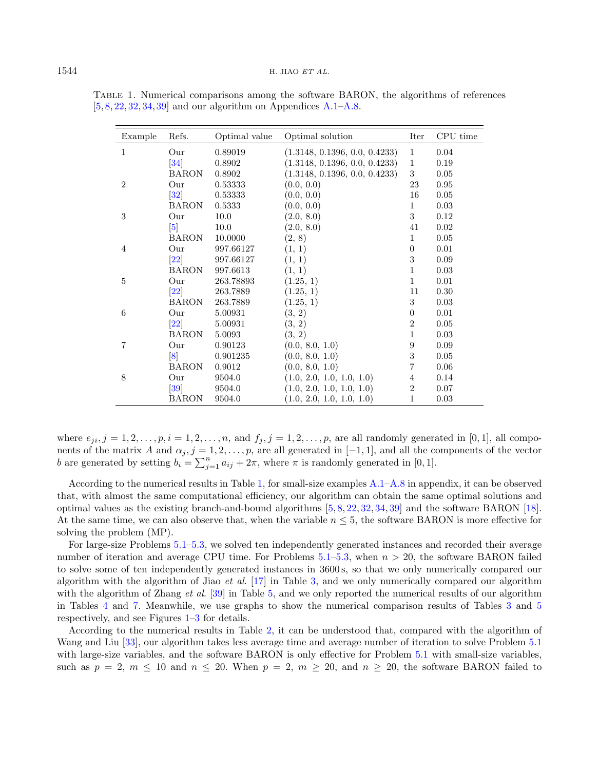| Example        | Refs.              | Optimal value | Optimal solution              | Iter             | CPU time |
|----------------|--------------------|---------------|-------------------------------|------------------|----------|
| $\mathbf{1}$   | Our                | 0.89019       | (1.3148, 0.1396, 0.0, 0.4233) | 1                | 0.04     |
|                | $\left 34\right $  | 0.8902        | (1.3148, 0.1396, 0.0, 0.4233) | $\mathbf{1}$     | 0.19     |
|                | <b>BARON</b>       | 0.8902        | (1.3148, 0.1396, 0.0, 0.4233) | 3                | 0.05     |
| $\overline{2}$ | Our                | 0.53333       | (0.0, 0.0)                    | 23               | 0.95     |
|                | 32                 | 0.53333       | (0.0, 0.0)                    | 16               | 0.05     |
|                | <b>BARON</b>       | 0.5333        | (0.0, 0.0)                    | $\mathbf 1$      | 0.03     |
| 3              | Our                | 10.0          | (2.0, 8.0)                    | 3                | 0.12     |
|                | $\vert 5 \vert$    | 10.0          | (2.0, 8.0)                    | 41               | 0.02     |
|                | <b>BARON</b>       | 10.0000       | (2, 8)                        | $\mathbf{1}$     | 0.05     |
| $\overline{4}$ | Our                | 997.66127     | (1, 1)                        | $\boldsymbol{0}$ | 0.01     |
|                | $\left  22\right $ | 997.66127     | (1, 1)                        | 3                | 0.09     |
|                | <b>BARON</b>       | 997.6613      | (1, 1)                        | $\mathbf{1}$     | 0.03     |
| 5              | Our                | 263.78893     | (1.25, 1)                     | $\mathbf{1}$     | 0.01     |
|                | $\left[ 22\right]$ | 263.7889      | (1.25, 1)                     | 11               | 0.30     |
|                | <b>BARON</b>       | 263.7889      | (1.25, 1)                     | 3                | 0.03     |
| 6              | Our                | 5.00931       | (3, 2)                        | $\boldsymbol{0}$ | 0.01     |
|                | 22                 | 5.00931       | (3, 2)                        | $\overline{2}$   | 0.05     |
|                | <b>BARON</b>       | 5.0093        | (3, 2)                        | $\mathbf 1$      | 0.03     |
| 7              | Our                | 0.90123       | (0.0, 8.0, 1.0)               | 9                | 0.09     |
|                | $\lceil 8 \rceil$  | 0.901235      | (0.0, 8.0, 1.0)               | 3                | 0.05     |
|                | <b>BARON</b>       | 0.9012        | (0.0, 8.0, 1.0)               | 7                | 0.06     |
| 8              | Our                | 9504.0        | (1.0, 2.0, 1.0, 1.0, 1.0)     | 4                | 0.14     |
|                | $\left 39\right $  | 9504.0        | (1.0, 2.0, 1.0, 1.0, 1.0)     | $\overline{2}$   | 0.07     |
|                | BARON              | 9504.0        | (1.0, 2.0, 1.0, 1.0, 1.0)     | 1                | $0.03\,$ |

<span id="page-11-0"></span>Table 1. Numerical comparisons among the software BARON, the algorithms of references  $[5, 8, 22, 32, 34, 39]$  $[5, 8, 22, 32, 34, 39]$  $[5, 8, 22, 32, 34, 39]$  $[5, 8, 22, 32, 34, 39]$  $[5, 8, 22, 32, 34, 39]$  $[5, 8, 22, 32, 34, 39]$  $[5, 8, 22, 32, 34, 39]$  $[5, 8, 22, 32, 34, 39]$  $[5, 8, 22, 32, 34, 39]$  $[5, 8, 22, 32, 34, 39]$  $[5, 8, 22, 32, 34, 39]$  and our algorithm on Appendices [A.1](#page-16-0)[–A.8.](#page-17-6)

where  $e_{ji}$ ,  $j = 1, 2, \ldots, p$ ,  $i = 1, 2, \ldots, n$ , and  $f_j$ ,  $j = 1, 2, \ldots, p$ , are all randomly generated in [0, 1], all components of the matrix A and  $\alpha_j$ ,  $j = 1, 2, \ldots, p$ , are all generated in [−1, 1], and all the components of the vector b are generated by setting  $b_i = \sum_{j=1}^n a_{ij} + 2\pi$ , where  $\pi$  is randomly generated in [0, 1].

According to the numerical results in Table [1,](#page-11-0) for small-size examples [A.1](#page-16-0)[–A.8](#page-17-6) in appendix, it can be observed that, with almost the same computational efficiency, our algorithm can obtain the same optimal solutions and optimal values as the existing branch-and-bound algorithms [\[5,](#page-17-5) [8,](#page-18-26) [22,](#page-18-14) [32,](#page-18-27) [34,](#page-18-28) [39\]](#page-18-21) and the software BARON [\[18\]](#page-18-25). At the same time, we can also observe that, when the variable  $n \leq 5$ , the software BARON is more effective for solving the problem (MP).

For large-size Problems [5.1](#page-10-1)[–5.3,](#page-10-2) we solved ten independently generated instances and recorded their average number of iteration and average CPU time. For Problems  $5.1-5.3$ , when  $n > 20$ , the software BARON failed to solve some of ten independently generated instances in 3600 s, so that we only numerically compared our algorithm with the algorithm of Jiao et al.  $[17]$  in Table [3,](#page-13-1) and we only numerically compared our algorithm with the algorithm of Zhang et al.  $[39]$  in Table [5,](#page-14-1) and we only reported the numerical results of our algorithm in Tables [4](#page-14-0) and [7.](#page-15-1) Meanwhile, we use graphs to show the numerical comparison results of Tables [3](#page-13-1) and [5](#page-14-1) respectively, and see Figures [1–](#page-12-0)[3](#page-12-1) for details.

According to the numerical results in Table [2,](#page-13-0) it can be understood that, compared with the algorithm of Wang and Liu [\[33\]](#page-18-29), our algorithm takes less average time and average number of iteration to solve Problem [5.1](#page-10-1) with large-size variables, and the software BARON is only effective for Problem [5.1](#page-10-1) with small-size variables, such as  $p = 2$ ,  $m \le 10$  and  $n \le 20$ . When  $p = 2$ ,  $m \ge 20$ , and  $n \ge 20$ , the software BARON failed to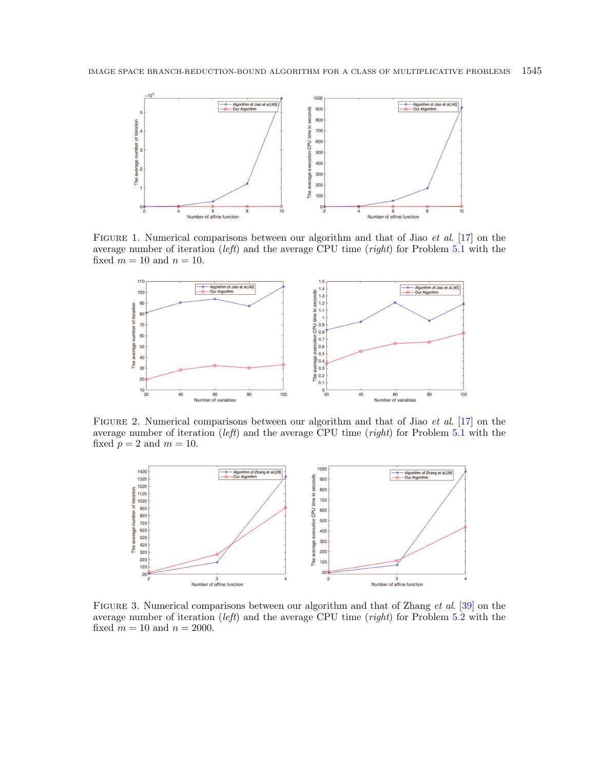<span id="page-12-0"></span>

FIGURE 1. Numerical comparisons between our algorithm and that of Jiao *et al.* [\[17\]](#page-18-30) on the average number of iteration (*left*) and the average CPU time (*right*) for Problem [5.1](#page-10-1) with the fixed  $m = 10$  and  $n = 10$ .

<span id="page-12-2"></span>

FIGURE 2. Numerical comparisons between our algorithm and that of Jiao *et al.* [\[17\]](#page-18-30) on the average number of iteration (*left*) and the average CPU time (*right*) for Problem [5.1](#page-10-1) with the fixed  $p = 2$  and  $m = 10$ .

<span id="page-12-1"></span>

FIGURE 3. Numerical comparisons between our algorithm and that of Zhang *et al.* [\[39\]](#page-18-21) on the average number of iteration (left) and the average CPU time (right) for Problem [5.2](#page-10-3) with the fixed  $m = 10$  and  $n = 2000$ .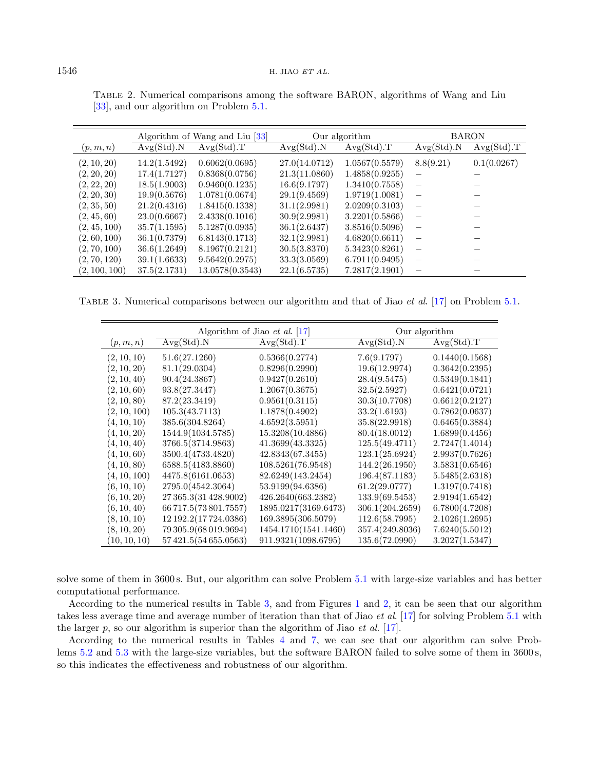<span id="page-13-1"></span>

|               | Algorithm of Wang and Liu [33] |                 | Our algorithm |                | <b>BARON</b>             |             |
|---------------|--------------------------------|-----------------|---------------|----------------|--------------------------|-------------|
| (p, m, n)     | Avg(Std).N                     | Avg(Std).T      | Avg(Std).N    | Avg(Std).T     | Avg(Std).N               | Avg(Std).T  |
| (2, 10, 20)   | 14.2(1.5492)                   | 0.6062(0.0695)  | 27.0(14.0712) | 1.0567(0.5579) | 8.8(9.21)                | 0.1(0.0267) |
| (2, 20, 20)   | 17.4(1.7127)                   | 0.8368(0.0756)  | 21.3(11.0860) | 1.4858(0.9255) |                          |             |
| (2, 22, 20)   | 18.5(1.9003)                   | 0.9460(0.1235)  | 16.6(9.1797)  | 1.3410(0.7558) | $\overline{\phantom{m}}$ |             |
| (2, 20, 30)   | 19.9(0.5676)                   | 1.0781(0.0674)  | 29.1(9.4569)  | 1.9719(1.0081) |                          |             |
| (2, 35, 50)   | 21.2(0.4316)                   | 1.8415(0.1338)  | 31.1(2.9981)  | 2.0209(0.3103) |                          |             |
| (2, 45, 60)   | 23.0(0.6667)                   | 2.4338(0.1016)  | 30.9(2.9981)  | 3.2201(0.5866) |                          |             |
| (2, 45, 100)  | 35.7(1.1595)                   | 5.1287(0.0935)  | 36.1(2.6437)  | 3.8516(0.5096) |                          |             |
| (2, 60, 100)  | 36.1(0.7379)                   | 6.8143(0.1713)  | 32.1(2.9981)  | 4.6820(0.6611) |                          |             |
| (2, 70, 100)  | 36.6(1.2649)                   | 8.1967(0.2121)  | 30.5(3.8370)  | 5.3423(0.8261) |                          |             |
| (2, 70, 120)  | 39.1(1.6633)                   | 9.5642(0.2975)  | 33.3(3.0569)  | 6.7911(0.9495) |                          |             |
| (2, 100, 100) | 37.5(2.1731)                   | 13.0578(0.3543) | 22.1(6.5735)  | 7.2817(2.1901) |                          |             |

<span id="page-13-0"></span>Table 2. Numerical comparisons among the software BARON, algorithms of Wang and Liu [\[33\]](#page-18-29), and our algorithm on Problem  $5.1$ .

TABLE 3. Numerical comparisons between our algorithm and that of Jiao *et al.* [\[17\]](#page-18-30) on Problem [5.1.](#page-10-1)

|              |                        | Algorithm of Jiao <i>et al.</i> [17] | Our algorithm   |                |  |
|--------------|------------------------|--------------------------------------|-----------------|----------------|--|
| (p,m,n)      | Avg(Std).N             | Avg(Std).T                           | Avg(Std).N      | Avg(Std).T     |  |
| (2, 10, 10)  | 51.6(27.1260)          | 0.5366(0.2774)                       | 7.6(9.1797)     | 0.1440(0.1568) |  |
| (2, 10, 20)  | 81.1(29.0304)          | 0.8296(0.2990)                       | 19.6(12.9974)   | 0.3642(0.2395) |  |
| (2, 10, 40)  | 90.4(24.3867)          | 0.9427(0.2610)                       | 28.4(9.5475)    | 0.5349(0.1841) |  |
| (2, 10, 60)  | 93.8(27.3447)          | 1.2067(0.3675)                       | 32.5(2.5927)    | 0.6421(0.0721) |  |
| (2, 10, 80)  | 87.2(23.3419)          | 0.9561(0.3115)                       | 30.3(10.7708)   | 0.6612(0.2127) |  |
| (2, 10, 100) | 105.3(43.7113)         | 1.1878(0.4902)                       | 33.2(1.6193)    | 0.7862(0.0637) |  |
| (4, 10, 10)  | 385.6(304.8264)        | 4.6592(3.5951)                       | 35.8(22.9918)   | 0.6465(0.3884) |  |
| (4, 10, 20)  | 1544.9(1034.5785)      | 15.3208(10.4886)                     | 80.4(18.0012)   | 1.6899(0.4456) |  |
| (4, 10, 40)  | 3766.5(3714.9863)      | 41.3699(43.3325)                     | 125.5(49.4711)  | 2.7247(1.4014) |  |
| (4, 10, 60)  | 3500.4(4733.4820)      | 42.8343(67.3455)                     | 123.1(25.6924)  | 2.9937(0.7626) |  |
| (4, 10, 80)  | 6588.5(4183.8860)      | 108.5261(76.9548)                    | 144.2(26.1950)  | 3.5831(0.6546) |  |
| (4, 10, 100) | 4475.8(6161.0653)      | 82.6249(143.2454)                    | 196.4(87.1183)  | 5.5485(2.6318) |  |
| (6, 10, 10)  | 2795.0(4542.3064)      | 53.9199(94.6386)                     | 61.2(29.0777)   | 1.3197(0.7418) |  |
| (6, 10, 20)  | 27 365.3(31 428.9002)  | 426.2640(663.2382)                   | 133.9(69.5453)  | 2.9194(1.6542) |  |
| (6, 10, 40)  | 66 717.5 (73 801.7557) | 1895.0217(3169.6473)                 | 306.1(204.2659) | 6.7800(4.7208) |  |
| (8, 10, 10)  | 12 192.2 (17 724.0386) | 169.3895(306.5079)                   | 112.6(58.7995)  | 2.1026(1.2695) |  |
| (8, 10, 20)  | 79 305.9(68 019.9694)  | 1454.1710(1541.1460)                 | 357.4(249.8036) | 7.6240(5.5012) |  |
| (10, 10, 10) | 57421.5(54655.0563)    | 911.9321(1098.6795)                  | 135.6(72.0990)  | 3.2027(1.5347) |  |

solve some of them in 3600 s. But, our algorithm can solve Problem [5.1](#page-10-1) with large-size variables and has better computational performance.

According to the numerical results in Table [3,](#page-13-1) and from Figures [1](#page-12-0) and [2,](#page-12-2) it can be seen that our algorithm takes less average time and average number of iteration than that of Jiao et al. [\[17\]](#page-18-30) for solving Problem [5.1](#page-10-1) with the larger  $p$ , so our algorithm is superior than the algorithm of Jiao *et al.* [\[17\]](#page-18-30).

According to the numerical results in Tables [4](#page-14-0) and [7,](#page-15-1) we can see that our algorithm can solve Problems [5.2](#page-10-3) and [5.3](#page-10-2) with the large-size variables, but the software BARON failed to solve some of them in 3600 s, so this indicates the effectiveness and robustness of our algorithm.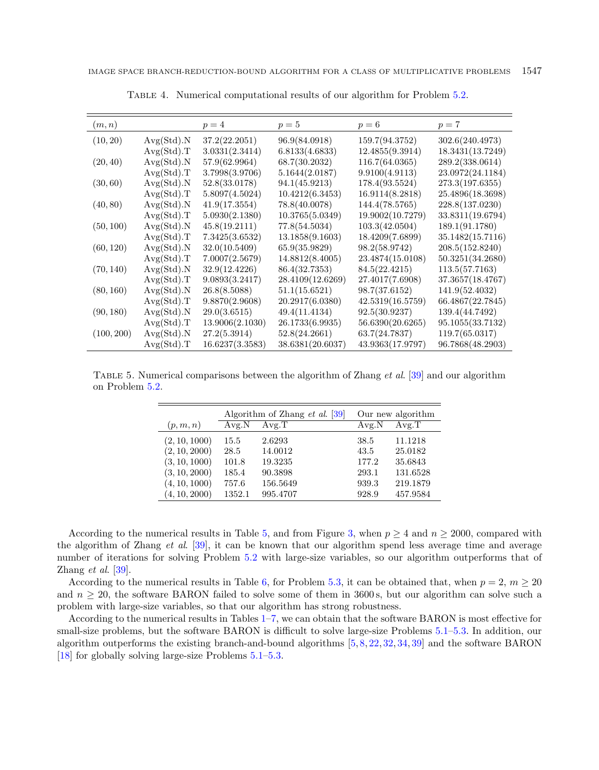<span id="page-14-1"></span>

| (m,n)      |            | $p=4$           | $p=5$            | $p=6$            | $p=7$            |
|------------|------------|-----------------|------------------|------------------|------------------|
| (10, 20)   | Avg(Std).N | 37.2(22.2051)   | 96.9(84.0918)    | 159.7(94.3752)   | 302.6(240.4973)  |
|            | Avg(Std).T | 3.0331(2.3414)  | 6.8133(4.6833)   | 12.4855(9.3914)  | 18.3431(13.7249) |
| (20, 40)   | Avg(Std).N | 57.9(62.9964)   | 68.7(30.2032)    | 116.7(64.0365)   | 289.2(338.0614)  |
|            | Avg(Std).T | 3.7998(3.9706)  | 5.1644(2.0187)   | 9.9100(4.9113)   | 23.0972(24.1184) |
| (30, 60)   | Avg(Std).N | 52.8(33.0178)   | 94.1(45.9213)    | 178.4(93.5524)   | 273.3(197.6355)  |
|            | Avg(Std).T | 5.8097(4.5024)  | 10.4212(6.3453)  | 16.9114(8.2818)  | 25.4896(18.3698) |
| (40, 80)   | Avg(Std).N | 41.9(17.3554)   | 78.8(40.0078)    | 144.4(78.5765)   | 228.8(137.0230)  |
|            | Avg(Std).T | 5.0930(2.1380)  | 10.3765(5.0349)  | 19.9002(10.7279) | 33.8311(19.6794) |
| (50, 100)  | Avg(Std).N | 45.8(19.2111)   | 77.8(54.5034)    | 103.3(42.0504)   | 189.1(91.1780)   |
|            | Avg(Std).T | 7.3425(3.6532)  | 13.1858(9.1603)  | 18.4209(7.6899)  | 35.1482(15.7116) |
| (60, 120)  | Avg(Std).N | 32.0(10.5409)   | 65.9(35.9829)    | 98.2(58.9742)    | 208.5(152.8240)  |
|            | Avg(Std).T | 7.0007(2.5679)  | 14.8812(8.4005)  | 23.4874(15.0108) | 50.3251(34.2680) |
| (70, 140)  | Avg(Std).N | 32.9(12.4226)   | 86.4(32.7353)    | 84.5(22.4215)    | 113.5(57.7163)   |
|            | Avg(Std).T | 9.0893(3.2417)  | 28.4109(12.6269) | 27.4017(7.6908)  | 37.3657(18.4767) |
| (80, 160)  | Avg(Std).N | 26.8(8.5088)    | 51.1(15.6521)    | 98.7(37.6152)    | 141.9(52.4032)   |
|            | Avg(Std).T | 9.8870(2.9608)  | 20.2917(6.0380)  | 42.5319(16.5759) | 66.4867(22.7845) |
| (90, 180)  | Avg(Std).N | 29.0(3.6515)    | 49.4(11.4134)    | 92.5(30.9237)    | 139.4(44.7492)   |
|            | Avg(Std).T | 13.9006(2.1030) | 26.1733(6.9935)  | 56.6390(20.6265) | 95.1055(33.7132) |
| (100, 200) | Avg(Std).N | 27.2(5.3914)    | 52.8(24.2661)    | 63.7(24.7837)    | 119.7(65.0317)   |
|            | Avg(Std).T | 16.6237(3.3583) | 38.6381(20.6037) | 43.9363(17.9797) | 96.7868(48.2903) |

<span id="page-14-0"></span>Table 4. Numerical computational results of our algorithm for Problem [5.2.](#page-10-3)

TABLE 5. Numerical comparisons between the algorithm of Zhang et al. [\[39\]](#page-18-21) and our algorithm on Problem [5.2.](#page-10-3)

|               | Algorithm of Zhang <i>et al.</i> [39] |          | Our new algorithm |          |
|---------------|---------------------------------------|----------|-------------------|----------|
| (p,m,n)       | Avg.N                                 | Avg.T    | Avg.N             | Avg.T    |
| (2, 10, 1000) | 15.5                                  | 2.6293   | 38.5              | 11.1218  |
| (2, 10, 2000) | 28.5                                  | 14.0012  | 43.5              | 25.0182  |
| (3, 10, 1000) | 101.8                                 | 19.3235  | 177.2             | 35.6843  |
| (3, 10, 2000) | 185.4                                 | 90.3898  | 293.1             | 131.6528 |
| (4, 10, 1000) | 757.6                                 | 156.5649 | 939.3             | 219.1879 |
| (4, 10, 2000) | 1352.1                                | 995.4707 | 928.9             | 457.9584 |

According to the numerical results in Table [5,](#page-14-1) and from Figure [3,](#page-12-1) when  $p \ge 4$  and  $n \ge 2000$ , compared with the algorithm of Zhang et al. [\[39\]](#page-18-21), it can be known that our algorithm spend less average time and average number of iterations for solving Problem [5.2](#page-10-3) with large-size variables, so our algorithm outperforms that of Zhang *et al.*  $\left|39\right|$ .

According to the numerical results in Table [6,](#page-15-2) for Problem [5.3,](#page-10-2) it can be obtained that, when  $p = 2$ ,  $m \ge 20$ and  $n \geq 20$ , the software BARON failed to solve some of them in 3600 s, but our algorithm can solve such a problem with large-size variables, so that our algorithm has strong robustness.

According to the numerical results in Tables [1](#page-11-0)[–7,](#page-15-1) we can obtain that the software BARON is most effective for small-size problems, but the software BARON is difficult to solve large-size Problems [5.1–](#page-10-1)[5.3.](#page-10-2) In addition, our algorithm outperforms the existing branch-and-bound algorithms [\[5,](#page-17-5) [8,](#page-18-26) [22,](#page-18-14) [32,](#page-18-27) [34,](#page-18-28) [39\]](#page-18-21) and the software BARON [\[18\]](#page-18-25) for globally solving large-size Problems  $5.1-5.3$ .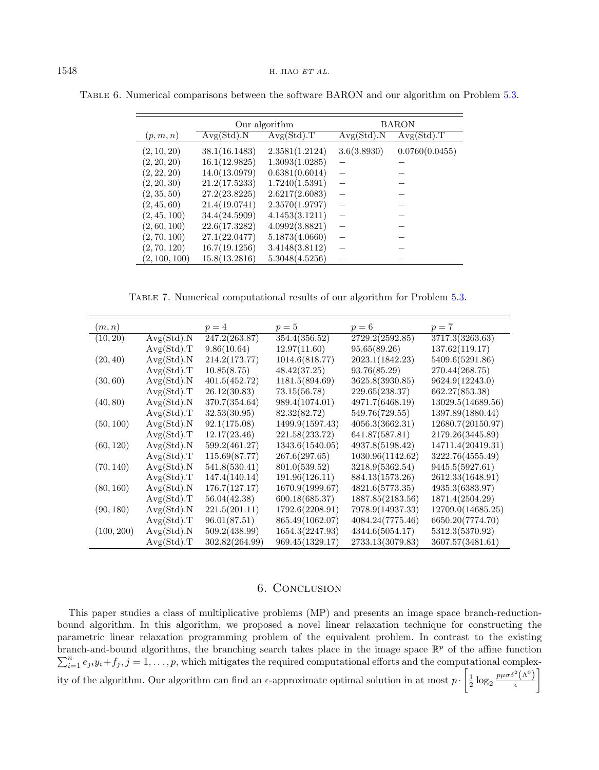<span id="page-15-1"></span>

|               | Our algorithm |                | <b>BARON</b> |                |
|---------------|---------------|----------------|--------------|----------------|
| (p, m, n)     | Avg(Std).N    | Avg(Std).T     | Avg(Std).N   | Avg(Std).T     |
| (2, 10, 20)   | 38.1(16.1483) | 2.3581(1.2124) | 3.6(3.8930)  | 0.0760(0.0455) |
| (2, 20, 20)   | 16.1(12.9825) | 1.3093(1.0285) |              |                |
| (2, 22, 20)   | 14.0(13.0979) | 0.6381(0.6014) |              |                |
| (2, 20, 30)   | 21.2(17.5233) | 1.7240(1.5391) |              |                |
| (2, 35, 50)   | 27.2(23.8225) | 2.6217(2.6083) |              |                |
| (2, 45, 60)   | 21.4(19.0741) | 2.3570(1.9797) |              |                |
| (2, 45, 100)  | 34.4(24.5909) | 4.1453(3.1211) |              |                |
| (2, 60, 100)  | 22.6(17.3282) | 4.0992(3.8821) |              |                |
| (2, 70, 100)  | 27.1(22.0477) | 5.1873(4.0660) |              |                |
| (2, 70, 120)  | 16.7(19.1256) | 3.4148(3.8112) |              |                |
| (2, 100, 100) | 15.8(13.2816) | 5.3048(4.5256) |              |                |

<span id="page-15-2"></span>Table 6. Numerical comparisons between the software BARON and our algorithm on Problem [5.3.](#page-10-2)

Table 7. Numerical computational results of our algorithm for Problem [5.3.](#page-10-2)

| (m, n)     |            | $p=4$          | $p=5$           | $p=6$            | $p=7$             |
|------------|------------|----------------|-----------------|------------------|-------------------|
| (10, 20)   | Avg(Std).N | 247.2(263.87)  | 354.4(356.52)   | 2729.2(2592.85)  | 3717.3(3263.63)   |
|            | Avg(Std).T | 9.86(10.64)    | 12.97(11.60)    | 95.65(89.26)     | 137.62(119.17)    |
| (20, 40)   | Avg(Std).N | 214.2(173.77)  | 1014.6(818.77)  | 2023.1(1842.23)  | 5409.6(5291.86)   |
|            | Avg(Std).T | 10.85(8.75)    | 48.42(37.25)    | 93.76(85.29)     | 270.44(268.75)    |
| (30, 60)   | Avg(Std).N | 401.5(452.72)  | 1181.5(894.69)  | 3625.8(3930.85)  | 9624.9(12243.0)   |
|            | Avg(Std).T | 26.12(30.83)   | 73.15(56.78)    | 229.65(238.37)   | 662.27(853.38)    |
| (40, 80)   | Avg(Std).N | 370.7(354.64)  | 989.4(1074.01)  | 4971.7(6468.19)  | 13029.5(14689.56) |
|            | Avg(Std).T | 32.53(30.95)   | 82.32(82.72)    | 549.76(729.55)   | 1397.89(1880.44)  |
| (50, 100)  | Avg(Std).N | 92.1(175.08)   | 1499.9(1597.43) | 4056.3(3662.31)  | 12680.7(20150.97) |
|            | Avg(Std).T | 12.17(23.46)   | 221.58(233.72)  | 641.87(587.81)   | 2179.26(3445.89)  |
| (60, 120)  | Avg(Std).N | 599.2(461.27)  | 1343.6(1540.05) | 4937.8(5198.42)  | 14711.4(20419.31) |
|            | Avg(Std).T | 115.69(87.77)  | 267.6(297.65)   | 1030.96(1142.62) | 3222.76(4555.49)  |
| (70, 140)  | Avg(Std).N | 541.8(530.41)  | 801.0(539.52)   | 3218.9(5362.54)  | 9445.5(5927.61)   |
|            | Avg(Std).T | 147.4(140.14)  | 191.96(126.11)  | 884.13(1573.26)  | 2612.33(1648.91)  |
| (80, 160)  | Avg(Std).N | 176.7(127.17)  | 1670.9(1999.67) | 4821.6(5773.35)  | 4935.3(6383.97)   |
|            | Avg(Std).T | 56.04(42.38)   | 600.18(685.37)  | 1887.85(2183.56) | 1871.4(2504.29)   |
| (90, 180)  | Avg(Std).N | 221.5(201.11)  | 1792.6(2208.91) | 7978.9(14937.33) | 12709.0(14685.25) |
|            | Avg(Std).T | 96.01(87.51)   | 865.49(1062.07) | 4084.24(7775.46) | 6650.20(7774.70)  |
| (100, 200) | Avg(Std).N | 509.2(438.99)  | 1654.3(2247.93) | 4344.6(5054.17)  | 5312.3(5370.92)   |
|            | Avg(Std).T | 302.82(264.99) | 969.45(1329.17) | 2733.13(3079.83) | 3607.57(3481.61)  |

## 6. Conclusion

<span id="page-15-0"></span>This paper studies a class of multiplicative problems (MP) and presents an image space branch-reductionbound algorithm. In this algorithm, we proposed a novel linear relaxation technique for constructing the parametric linear relaxation programming problem of the equivalent problem. In contrast to the existing branch-and-bound algorithms, the branching search takes place in the image space  $\mathbb{R}^p$  of the affine function  $\sum_{i=1}^{n} e_{ji}y_i + f_j, j = 1, \ldots, p$ , which mitigates the required computational efforts and the computational complexity of the algorithm. Our algorithm can find an  $\epsilon$ -approximate optimal solution in at most  $p \cdot \left[ \frac{1}{2} \log_2 \frac{p \mu \sigma \delta^2 (\Lambda^0)}{\epsilon} \right]$  $\epsilon$ ]︂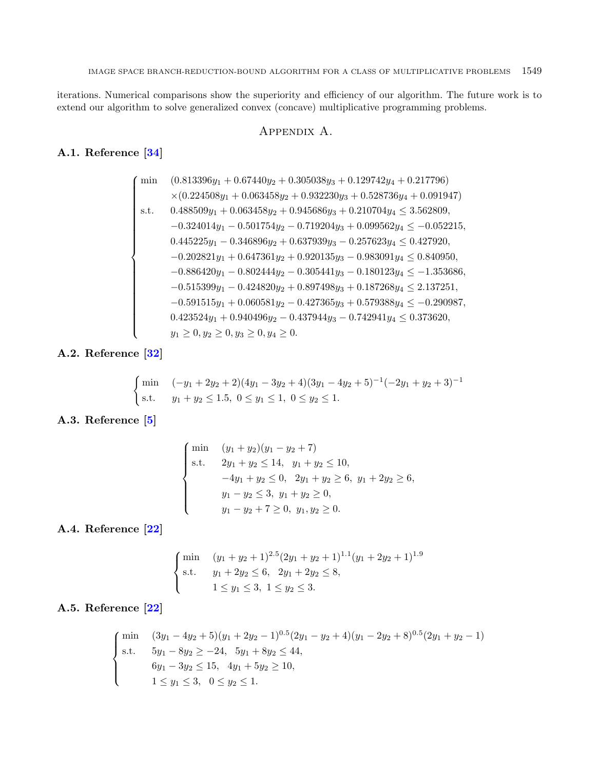iterations. Numerical comparisons show the superiority and efficiency of our algorithm. The future work is to extend our algorithm to solve generalized convex (concave) multiplicative programming problems.

## Appendix A.

# <span id="page-16-0"></span>A.1. Reference [\[34\]](#page-18-28)

$$
\left\{\begin{array}{ll} \min & (0.813396y_1+0.67440y_2+0.305038y_3+0.129742y_4+0.217796) \\ & \times(0.224508y_1+0.063458y_2+0.932230y_3+0.528736y_4+0.091947) \\ \text{s.t.} & 0.488509y_1+0.063458y_2+0.945686y_3+0.210704y_4 \leq 3.562809, \\ & -0.324014y_1-0.501754y_2-0.719204y_3+0.099562y_4 \leq -0.052215, \\ & 0.445225y_1-0.346896y_2+0.637939y_3-0.257623y_4 \leq 0.427920, \\ & -0.202821y_1+0.647361y_2+0.920135y_3-0.983091y_4 \leq 0.840950, \\ & -0.886420y_1-0.802444y_2-0.305441y_3-0.180123y_4 \leq -1.353686, \\ & -0.515399y_1-0.424820y_2+0.897498y_3+0.187268y_4 \leq 2.137251, \\ & -0.591515y_1+0.060581y_2-0.427365y_3+0.579388y_4 \leq -0.290987, \\ & 0.423524y_1+0.940496y_2-0.437944y_3-0.742941y_4 \leq 0.373620, \\ & y_1 \geq 0, y_2 \geq 0, y_3 \geq 0, y_4 \geq 0. \end{array}\right.
$$

A.2. Reference [\[32\]](#page-18-27)

$$
\begin{cases}\n\min \quad (-y_1 + 2y_2 + 2)(4y_1 - 3y_2 + 4)(3y_1 - 4y_2 + 5)^{-1}(-2y_1 + y_2 + 3)^{-1} \\
\text{s.t.} \quad y_1 + y_2 \le 1.5, \ 0 \le y_1 \le 1, \ 0 \le y_2 \le 1.\n\end{cases}
$$

# A.3. Reference [\[5\]](#page-17-5)

$$
\begin{cases}\n\min & (y_1 + y_2)(y_1 - y_2 + 7) \\
\text{s.t.} & 2y_1 + y_2 \le 14, \quad y_1 + y_2 \le 10, \\
& -4y_1 + y_2 \le 0, \quad 2y_1 + y_2 \ge 6, \quad y_1 + 2y_2 \ge 6, \\
& y_1 - y_2 \le 3, \quad y_1 + y_2 \ge 0, \\
& y_1 - y_2 + 7 \ge 0, \quad y_1, y_2 \ge 0.\n\end{cases}
$$

A.4. Reference [\[22\]](#page-18-14)

$$
\begin{cases}\n\min & (y_1 + y_2 + 1)^{2.5} (2y_1 + y_2 + 1)^{1.1} (y_1 + 2y_2 + 1)^{1.9} \\
\text{s.t.} & y_1 + 2y_2 \le 6, \quad 2y_1 + 2y_2 \le 8, \\
1 \le y_1 \le 3, \quad 1 \le y_2 \le 3.\n\end{cases}
$$

# A.5. Reference [\[22\]](#page-18-14)

$$
\begin{cases}\n\min \quad (3y_1 - 4y_2 + 5)(y_1 + 2y_2 - 1)^{0.5}(2y_1 - y_2 + 4)(y_1 - 2y_2 + 8)^{0.5}(2y_1 + y_2 - 1) \\
\text{s.t.} \quad 5y_1 - 8y_2 \ge -24, \quad 5y_1 + 8y_2 \le 44, \\
6y_1 - 3y_2 \le 15, \quad 4y_1 + 5y_2 \ge 10, \\
1 \le y_1 \le 3, \quad 0 \le y_2 \le 1.\n\end{cases}
$$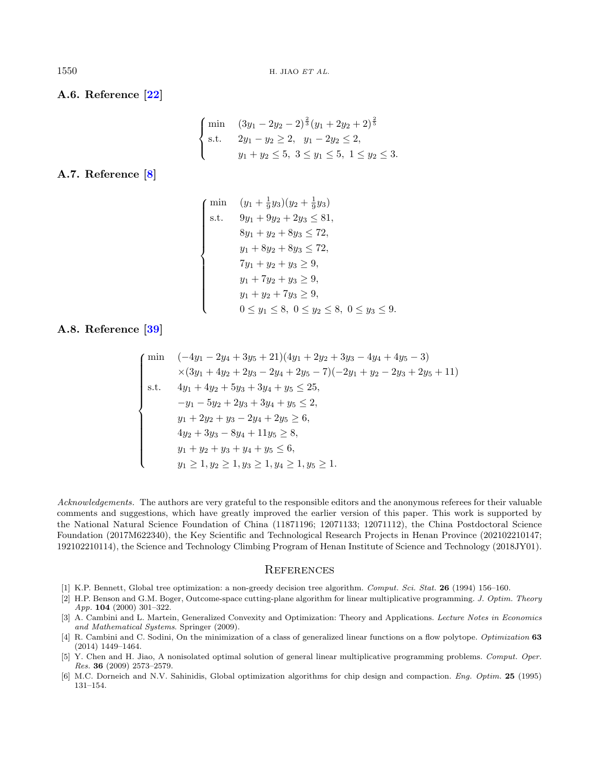A.6. Reference [\[22\]](#page-18-14)

$$
\begin{cases}\n\min \quad (3y_1 - 2y_2 - 2)^{\frac{2}{3}} (y_1 + 2y_2 + 2)^{\frac{2}{5}} \\
\text{s.t.} \quad 2y_1 - y_2 \ge 2, \quad y_1 - 2y_2 \le 2, \\
y_1 + y_2 \le 5, \quad 3 \le y_1 \le 5, \quad 1 \le y_2 \le 3.\n\end{cases}
$$

A.7. Reference [\[8\]](#page-18-26)

$$
\begin{cases}\n\min & (y_1 + \frac{1}{9}y_3)(y_2 + \frac{1}{9}y_3) \\
\text{s.t.} & 9y_1 + 9y_2 + 2y_3 \le 81, \\
& 8y_1 + y_2 + 8y_3 \le 72, \\
& y_1 + 8y_2 + 8y_3 \le 72, \\
& 7y_1 + y_2 + y_3 \ge 9, \\
& y_1 + 7y_2 + y_3 \ge 9, \\
& y_1 + y_2 + 7y_3 \ge 9, \\
& 0 \le y_1 \le 8, \ 0 \le y_2 \le 8, \ 0 \le y_3 \le 9.\n\end{cases}
$$

<span id="page-17-6"></span>A.8. Reference [\[39\]](#page-18-21)

$$
\begin{cases}\n\min \quad (-4y_1 - 2y_4 + 3y_5 + 21)(4y_1 + 2y_2 + 3y_3 - 4y_4 + 4y_5 - 3) \\
\times (3y_1 + 4y_2 + 2y_3 - 2y_4 + 2y_5 - 7)(-2y_1 + y_2 - 2y_3 + 2y_5 + 11) \\
\text{s.t.} \quad 4y_1 + 4y_2 + 5y_3 + 3y_4 + y_5 \le 25, \\
-y_1 - 5y_2 + 2y_3 + 3y_4 + y_5 \le 2, \\
y_1 + 2y_2 + y_3 - 2y_4 + 2y_5 \ge 6, \\
4y_2 + 3y_3 - 8y_4 + 11y_5 \ge 8, \\
y_1 + y_2 + y_3 + y_4 + y_5 \le 6, \\
y_1 \ge 1, y_2 \ge 1, y_3 \ge 1, y_4 \ge 1, y_5 \ge 1.\n\end{cases}
$$

<span id="page-17-5"></span><span id="page-17-4"></span><span id="page-17-3"></span><span id="page-17-2"></span><span id="page-17-1"></span><span id="page-17-0"></span>Acknowledgements. The authors are very grateful to the responsible editors and the anonymous referees for their valuable comments and suggestions, which have greatly improved the earlier version of this paper. This work is supported by the National Natural Science Foundation of China (11871196; 12071133; 12071112), the China Postdoctoral Science Foundation (2017M622340), the Key Scientific and Technological Research Projects in Henan Province (202102210147; 192102210114), the Science and Technology Climbing Program of Henan Institute of Science and Technology (2018JY01).

## **REFERENCES**

- [1] K.P. Bennett, Global tree optimization: a non-greedy decision tree algorithm. Comput. Sci. Stat. 26 (1994) 156–160.
- [2] H.P. Benson and G.M. Boger, Outcome-space cutting-plane algorithm for linear multiplicative programming. J. Optim. Theory App. 104 (2000) 301–322.
- [3] A. Cambini and L. Martein, Generalized Convexity and Optimization: Theory and Applications. Lecture Notes in Economics and Mathematical Systems. Springer (2009).
- [4] R. Cambini and C. Sodini, On the minimization of a class of generalized linear functions on a flow polytope. Optimization 63 (2014) 1449–1464.
- [5] Y. Chen and H. Jiao, A nonisolated optimal solution of general linear multiplicative programming problems. Comput. Oper. Res. 36 (2009) 2573–2579.
- [6] M.C. Dorneich and N.V. Sahinidis, Global optimization algorithms for chip design and compaction. Eng. Optim. 25 (1995) 131–154.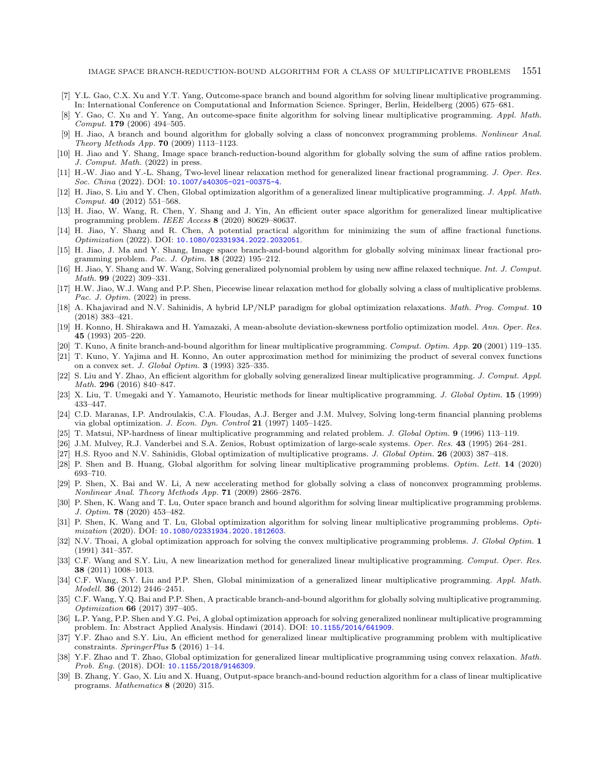- <span id="page-18-26"></span><span id="page-18-23"></span><span id="page-18-20"></span><span id="page-18-8"></span><span id="page-18-7"></span><span id="page-18-6"></span><span id="page-18-4"></span><span id="page-18-3"></span>[7] Y.L. Gao, C.X. Xu and Y.T. Yang, Outcome-space branch and bound algorithm for solving linear multiplicative programming. In: International Conference on Computational and Information Science. Springer, Berlin, Heidelberg (2005) 675–681.
- <span id="page-18-5"></span>[8] Y. Gao, C. Xu and Y. Yang, An outcome-space finite algorithm for solving linear multiplicative programming. Appl. Math. Comput. 179 (2006) 494–505.
- <span id="page-18-24"></span>[9] H. Jiao, A branch and bound algorithm for globally solving a class of nonconvex programming problems. Nonlinear Anal. Theory Methods App. 70 (2009) 1113–1123.
- <span id="page-18-30"></span>[10] H. Jiao and Y. Shang, Image space branch-reduction-bound algorithm for globally solving the sum of affine ratios problem. J. Comput. Math. (2022) in press.
- <span id="page-18-25"></span>[11] H.-W. Jiao and Y.-L. Shang, Two-level linear relaxation method for generalized linear fractional programming. J. Oper. Res. Soc. China (2022). DOI: [10.1007/s40305-021-00375-4](https://doi.org/10.1007/s40305-021-00375-4).
- <span id="page-18-1"></span>[12] H. Jiao, S. Liu and Y. Chen, Global optimization algorithm of a generalized linear multiplicative programming. J. Appl. Math. Comput. 40 (2012) 551–568.
- <span id="page-18-16"></span><span id="page-18-15"></span>[13] H. Jiao, W. Wang, R. Chen, Y. Shang and J. Yin, An efficient outer space algorithm for generalized linear multiplicative programming problem. IEEE Access 8 (2020) 80629–80637.
- <span id="page-18-14"></span>[14] H. Jiao, Y. Shang and R. Chen, A potential practical algorithm for minimizing the sum of affine fractional functions. Optimization (2022). DOI: [10.1080/02331934.2022.2032051](https://doi.org/10.1080/02331934.2022.2032051).
- <span id="page-18-9"></span>[15] H. Jiao, J. Ma and Y. Shang, Image space branch-and-bound algorithm for globally solving minimax linear fractional programming problem. Pac. J. Optim. 18 (2022) 195–212.
- <span id="page-18-2"></span>[16] H. Jiao, Y. Shang and W. Wang, Solving generalized polynomial problem by using new affine relaxed technique. Int. J. Comput. Math. 99 (2022) 309–331.
- <span id="page-18-10"></span>[17] H.W. Jiao, W.J. Wang and P.P. Shen, Piecewise linear relaxation method for globally solving a class of multiplicative problems. Pac. J. Optim. (2022) in press.
- <span id="page-18-17"></span><span id="page-18-0"></span>[18] A. Khajavirad and N.V. Sahinidis, A hybrid LP/NLP paradigm for global optimization relaxations. Math. Prog. Comput. 10 (2018) 383–421.
- <span id="page-18-19"></span>[19] H. Konno, H. Shirakawa and H. Yamazaki, A mean-absolute deviation-skewness portfolio optimization model. Ann. Oper. Res. 45 (1993) 205–220.
- <span id="page-18-11"></span>[20] T. Kuno, A finite branch-and-bound algorithm for linear multiplicative programming. Comput. Optim. App. 20 (2001) 119–135.
- <span id="page-18-18"></span>[21] T. Kuno, Y. Yajima and H. Konno, An outer approximation method for minimizing the product of several convex functions on a convex set. J. Global Optim.  $3$  (1993) 325–335.
- <span id="page-18-22"></span>[22] S. Liu and Y. Zhao, An efficient algorithm for globally solving generalized linear multiplicative programming. J. Comput. Appl. Math. 296 (2016) 840–847.
- <span id="page-18-27"></span>[23] X. Liu, T. Umegaki and Y. Yamamoto, Heuristic methods for linear multiplicative programming. J. Global Optim. 15 (1999) 433–447.
- <span id="page-18-29"></span>[24] C.D. Maranas, I.P. Androulakis, C.A. Floudas, A.J. Berger and J.M. Mulvey, Solving long-term financial planning problems via global optimization. J. Econ. Dyn. Control 21 (1997) 1405–1425.
- <span id="page-18-28"></span>[25] T. Matsui, NP-hardness of linear multiplicative programming and related problem. J. Global Optim. 9 (1996) 113–119.
- [26] J.M. Mulvey, R.J. Vanderbei and S.A. Zenios, Robust optimization of large-scale systems. Oper. Res. 43 (1995) 264–281.
- <span id="page-18-12"></span>[27] H.S. Ryoo and N.V. Sahinidis, Global optimization of multiplicative programs. J. Global Optim. 26 (2003) 387–418.
- [28] P. Shen and B. Huang, Global algorithm for solving linear multiplicative programming problems. Optim. Lett. 14 (2020) 693–710.
- [29] P. Shen, X. Bai and W. Li, A new accelerating method for globally solving a class of nonconvex programming problems. Nonlinear Anal. Theory Methods App. 71 (2009) 2866–2876.
- [30] P. Shen, K. Wang and T. Lu, Outer space branch and bound algorithm for solving linear multiplicative programming problems. J. Optim. 78 (2020) 453–482.
- <span id="page-18-13"></span>[31] P. Shen, K. Wang and T. Lu, Global optimization algorithm for solving linear multiplicative programming problems. Optimization (2020). DOI: [10.1080/02331934.2020.1812603](https://doi.org/10.1080/02331934.2020.1812603).
- <span id="page-18-21"></span>[32] N.V. Thoai, A global optimization approach for solving the convex multiplicative programming problems. J. Global Optim. 1 (1991) 341–357.
- [33] C.F. Wang and S.Y. Liu, A new linearization method for generalized linear multiplicative programming. Comput. Oper. Res. 38 (2011) 1008–1013.
- [34] C.F. Wang, S.Y. Liu and P.P. Shen, Global minimization of a generalized linear multiplicative programming. Appl. Math. Modell. 36 (2012) 2446–2451.
- [35] C.F. Wang, Y.Q. Bai and P.P. Shen, A practicable branch-and-bound algorithm for globally solving multiplicative programming. Optimization 66 (2017) 397–405.
- [36] L.P. Yang, P.P. Shen and Y.G. Pei, A global optimization approach for solving generalized nonlinear multiplicative programming problem. In: Abstract Applied Analysis. Hindawi (2014). DOI: [10.1155/2014/641909](#page-0-0).
- [37] Y.F. Zhao and S.Y. Liu, An efficient method for generalized linear multiplicative programming problem with multiplicative constraints. SpringerPlus 5 (2016) 1–14.
- [38] Y.F. Zhao and T. Zhao, Global optimization for generalized linear multiplicative programming using convex relaxation. Math. Prob. Eng. (2018). DOI: [10.1155/2018/9146309](https://doi.org/10.1155/2018/9146309).
- [39] B. Zhang, Y. Gao, X. Liu and X. Huang, Output-space branch-and-bound reduction algorithm for a class of linear multiplicative programs. Mathematics 8 (2020) 315.